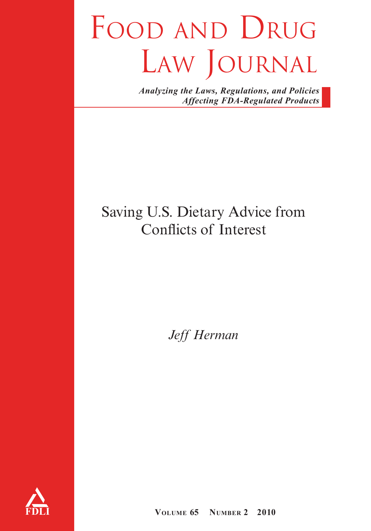# FOOD AND DRUG LAW JOURNAL

*Analyzing the Laws, Regulations, and Policies Affecting FDA-Regulated Products*

# Saving U.S. Dietary Advice from Conflicts of Interest

*Jeff Herman*



**VOLUME 65 NUMBER 2 2010**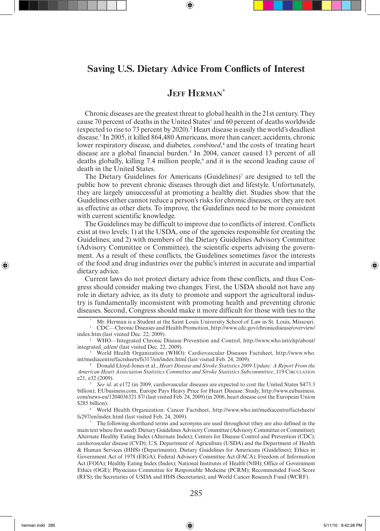# **Saving U.S. Dietary Advice From Conflicts of Interest**

# **JEFF HERMAN\***

Chronic diseases are the greatest threat to global health in the 21st century. They cause 70 percent of deaths in the United States<sup>1</sup> and 60 percent of deaths worldwide (expected to rise to 73 percent by 2020).2 Heart disease is easily the world's deadliest disease.3 In 2005, it killed 864,480 Americans, more than cancer, accidents, chronic lower respiratory disease, and diabetes, *combined*,<sup>4</sup> and the costs of treating heart disease are a global financial burden.<sup>5</sup> In 2004, cancer caused 13 percent of all deaths globally, killing 7.4 million people,<sup>6</sup> and it is the second leading cause of death in the United States.

The Dietary Guidelines for Americans  $(Guidelines)^7$  are designed to tell the public how to prevent chronic diseases through diet and lifestyle. Unfortunately, they are largely unsuccessful at promoting a healthy diet. Studies show that the Guidelines either cannot reduce a person's risks for chronic diseases, or they are not as effective as other diets. To improve, the Guidelines need to be more consistent with current scientific knowledge.

The Guidelines may be difficult to improve due to conflicts of interest. Conflicts exist at two levels: 1) at the USDA, one of the agencies responsible for creating the Guidelines; and 2) with members of the Dietary Guidelines Advisory Committee (Advisory Committee or Committee), the scientific experts advising the government. As a result of these conflicts, the Guidelines sometimes favor the interests of the food and drug industries over the public's interest in accurate and impartial dietary advice.

Current laws do not protect dietary advice from these conflicts, and thus Congress should consider making two changes. First, the USDA should not have any role in dietary advice, as its duty to promote and support the agricultural industry is fundamentally inconsistent with promoting health and preventing chronic diseases. Second, Congress should make it more difficult for those with ties to the

Mr. Herman is a Student at the Saint Louis University School of Law in St. Louis, Missouri.

1 CDC—Chronic Diseases and Health Promotion, http://www.cdc.gov/chronicdisease/overview/

<sup>2</sup> WHO—Integrated Chronic Disease Prevention and Control, http://www.who.int/chp/about/ integrated\_cd/en/ (last visited Dec. 22, 2009).<br><sup>3</sup> World Health Organization (WHO): Cardiovascular Diseases Factsheet, http://www.who.

int/mediacentre/factsheets/fs317/en/index.html (last visited Feb. 24, 2009).

4 Donald Lloyd-Jones et al., *Heart Disease and Stroke Statistics 2009 Update: A Report From the American Heart Association Statistics Committee and Stroke Statistics Subcommittee*, 119 CIRCULATION e21, e32 (2009).

<sup>5</sup>*See id*. at e172 (in 2009, cardiovascular diseases are expected to cost the United States \$473.3 billion); EUbusiness.com, Europe Pays Heavy Price for Heart Disease: Study, http://www.eubusiness. com/news-eu/1204036321.87/ (last visited Feb. 24, 2009) (in 2006, heart disease cost the European Union \$285 billion).

6 World Health Organization: Cancer Factsheet, http://www.who.int/mediacentre/factsheets/ fs297/en/index.html (last visited Feb. 24, 2009).<br><sup>7</sup> The following shorthand terms and acronyms are used throughout (they are also defined in the

main text where first used): Dietary Guidelines Advisory Committee (Advisory Committee or Committee); Alternate Healthy Eating Index (Alternate Index); Centers for Disease Control and Prevention (CDC); cardiovascular disease (CVD); U.S. Department of Agriculture (USDA) and the Department of Health & Human Services (HHS) (Departments); Dietary Guidelines for Americans (Guidelines); Ethics in Government Act of 1978 (EIGA); Federal Advisory Committee Act (FACA); Freedom of Information Act (FOIA); Healthy Eating Index (Index); National Institutes of Health (NIH); Office of Government Ethics (OGE); Physicians Committee for Responsible Medicine (PCRM); Recommended Food Score (RFS); the Secretaries of USDA and HHS (Secretaries); and World Cancer Research Fund (WCRF).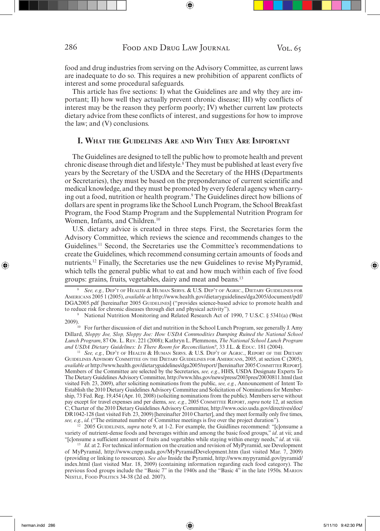food and drug industries from serving on the Advisory Committee, as current laws are inadequate to do so. This requires a new prohibition of apparent conflicts of interest and some procedural safeguards.

This article has five sections: I) what the Guidelines are and why they are important; II) how well they actually prevent chronic disease; III) why conflicts of interest may be the reason they perform poorly; IV) whether current law protects dietary advice from these conflicts of interest, and suggestions for how to improve the law; and (V) conclusions.

#### **I. WHAT THE GUIDELINES ARE AND WHY THEY ARE IMPORTANT**

The Guidelines are designed to tell the public how to promote health and prevent chronic disease through diet and lifestyle.8 They must be published at least every five years by the Secretary of the USDA and the Secretary of the HHS (Departments or Secretaries), they must be based on the preponderance of current scientific and medical knowledge, and they must be promoted by every federal agency when carrying out a food, nutrition or health program.9 The Guidelines direct how billions of dollars are spent in programs like the School Lunch Program, the School Breakfast Program, the Food Stamp Program and the Supplemental Nutrition Program for Women, Infants, and Children.<sup>10</sup>

U.S. dietary advice is created in three steps. First, the Secretaries form the Advisory Committee, which reviews the science and recommends changes to the Guidelines.11 Second, the Secretaries use the Committee's recommendations to create the Guidelines, which recommend consuming certain amounts of foods and nutrients.12 Finally, the Secretaries use the new Guidelines to revise MyPyramid, which tells the general public what to eat and how much within each of five food groups: grains, fruits, vegetables, dairy and meat and beans.13

9 National Nutrition Monitoring and Related Research Act of 1990, 7 U.S.C. § 5341(a) (West 2009). 10 For further discussion of diet and nutrition in the School Lunch Program, see generally J. Amy

Dillard, *Sloppy Joe, Slop, Sloppy Joe: How USDA Commodities Dumping Ruined the National School Lunch Program*, 87 OR. L. REV. 221 (2008); Kathryn L. Plemmons, *The National School Lunch Program and USDA Dietary Guidelines: Is There Room for Reconciliation?*, 33 J.L. & EDUC. 181 (2004).

<sup>11</sup>*See, e.g.*, DEP'T OF HEALTH & HUMAN SERVS. & U.S. DEP'T OF AGRIC., REPORT OF THE DIETARY GUIDELINES ADVISORY COMMITTEE ON THE DIETARY GUIDELINES FOR AMERICANS, 2005, at section C (2005), *available at* http://www.health.gov/dietaryguidelines/dga2005/report/ [hereinafter 2005 COMMITTEE REPORT]. Members of the Committee are selected by the Secretaries, *see, e.g.*, HHS, USDA Designate Experts To The Dietary Guidelines Advisory Committee, http://www.hhs.gov/news/press/2003pres/20030811.html (last visited Feb. 23, 2009), after soliciting nominations from the public, *see, e.g.*, Announcement of Intent To Establish the 2010 Dietary Guidelines Advisory Committee and Solicitation of Nominations for Membership, 73 Fed. Reg. 19,454 (Apr. 10, 2008) (soliciting nominations from the public). Members serve without pay except for travel expenses and per diems, *see, e.g.*, 2005 COMMITTEE REPORT, *supra* note 12, at section C; Charter of the 2010 Dietary Guidelines Advisory Committee, http://www.ocio.usda.gov/directives/doc/ DR1042-128 (last visited Feb. 23, 2009) [hereinafter 2010 Charter], and they meet formally only five times, *see, e.g.*, *id*. ("The estimated number of Committee meetings is five over the project duration").

12 2005 GUIDELINES, *supra* note 9, at 1-2. For example, the Guidlines recommend: "[c]onsume a variety of nutrient-dense foods and beverages within and among the basic food groups," *id*. at vii; and "[c]onsume a sufficient amount of fruits and vegetables while staying within energy needs," *id*. at viii.

<sup>13</sup> *Id.* at 2. For technical information on the creation and revision of MyPyramid, see Development of MyPyramid, http://www.cnpp.usda.gov/MyPyramidDevelopment.htm (last visited Mar. 7, 2009) (providing or linking to resources). *See also* Inside the Pyramid, http://www.mypyramid.gov/pyramid/ index.html (last visited Mar. 18, 2009) (containing information regarding each food category). The previous food groups include the "Basic 7" in the 1940s and the "Basic 4" in the late 1950s. MARION NESTLE, FOOD POLITICS 34-38 (2d ed. 2007).

<sup>8</sup>*See, e.g.,* DEP'T OF HEALTH & HUMAN SERVS. & U.S. DEP'T OF AGRIC., DIETARY GUIDELINES FOR AMERICANS 2005 1 (2005), *available at* http://www.health.gov/dietaryguidelines/dga2005/document/pdf/ DGA2005.pdf [hereinafter 2005 GUIDELINES] ("provides science-based advice to promote health and to reduce risk for chronic diseases through diet and physical activity").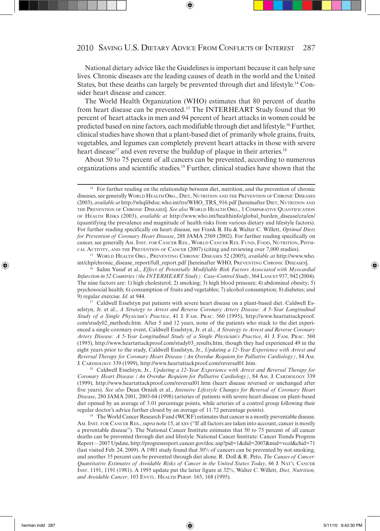National dietary advice like the Guidelines is important because it can help save lives. Chronic diseases are the leading causes of death in the world and the United States, but these deaths can largely be prevented through diet and lifestyle.14 Consider heart disease and cancer.

The World Health Organization (WHO) estimates that 80 percent of deaths from heart disease can be prevented.15 The INTERHEART Study found that 90 percent of heart attacks in men and 94 percent of heart attacks in women could be predicted based on nine factors, each modifiable through diet and lifestyle.16 Further, clinical studies have shown that a plant-based diet of primarily whole grains, fruits, vegetables, and legumes can completely prevent heart attacks in those with severe heart disease<sup>17</sup> and even reverse the buildup of plaque in their arteries.<sup>18</sup>

About 50 to 75 percent of all cancers can be prevented, according to numerous organizations and scientific studies.19 Further, clinical studies have shown that the

15 WORLD HEALTH ORG., PREVENTING CHRONIC DISEASES 52 (2005), *available at* http://www.who. int/chp/chronic\_disease\_report/full\_report.pdf [hereinafter WHO, PREVENTING CHRONIC DISEASES]. 16 Salim Yusuf et al., *Effect of Potentially Modifiable Risk Factors Associated with Myocardial* 

9) regular exercise. *Id.* at 944.<br><sup>17</sup> Caldwell Esselstyn put patients with severe heart disease on a plant-based diet. Caldwell Esselstyn, Jr. et al., *A Strategy to Arrest and Reverse Coronary Artery Disease: A 5-Year Longitudinal Study of a Single Physician's Practice*, 41 J. FAM. PRAC. 560 (1995), http://www.heartattackproof. com/study02\_methods.htm. After 5 and 12 years, none of the patients who stuck to the diet experienced a single coronary event, Caldwell Esselstyn, Jr. et al., *A Strategy to Arrest and Reverse Coronary Artery Disease: A 5-Year Longitudinal Study of a Single Physician's Practice*, 41 J. FAM. PRAC. 560 (1995), http://www.heartattackproof.com/study03\_results.htm, though they had experienced 49 in the eight years prior to the study, Caldwell Esselstyn, Jr., *Updating a 12-Year Experience with Arrest and Reversal Therapy for Coronary Heart Disease (An Overdue Requiem for Palliative Cardiology)*, 84 AM. J. CARDIOLOGY 339 (1999), http://www.heartattackproof.com/reversal01.htm.

18 Caldwell Esselstyn, Jr., *Updating a 12-Year Experience with Arrest and Reversal Therapy for Coronary Heart Disease (An Overdue Requiem for Palliative Cardiology)*, 84 AM. J. CARDIOLOGY 339 (1999), http://www.heartattackproof.com/reversal01.htm (heart disease reversed or unchanged after five years). *See also* Dean Ornish et al., *Intensive Lifestyle Changes for Reversal of Coronary Heart Disease*, 280 JAMA 2001, 2003-04 (1998) (arteries of patients with severe heart disease on plant-based diet opened by an average of 3.01 percentage points, while arteries of a control group following their regular doctor's advice further closed by an average of 11.72 percentage points).

<sup>19</sup> The World Cancer Research Fund (WCRF) estimates that cancer is a mostly preventable disease. AM. INST. FOR CANCER RES., *supra* note 15, at xxv ("If all factors are taken into account, cancer is mostly a preventable disease"). The National Cancer Institute estimates that 50 to 75 percent of all cancer deaths can be prevented through diet and lifestyle. National Cancer Institute: Cancer Trends Progress Report—2007 Update, http://progressreport.cancer.gov/doc.asp?pid=1&did=2007&mid=vcol&chid=71 (last visited Feb. 24, 2009). A 1981 study found that 30% of cancers can be prevented by not smoking, and another 35 percent can be prevented through diet alone. R. Doll & R. Peto, *The Causes of Cancer: Quantitative Estimates of Avoidable Risks of Cancer in the United States Today*, 66 J. NAT'L CANCER INST. 1191, 1191 (1981). A 1995 update put the latter figure at 32%, Walter C. Willett, *Diet, Nutrition, and Avoidable Cancer*, 103 ENVTL. HEALTH PERSP. 165, 168 (1995).

<sup>&</sup>lt;sup>14</sup> For further reading on the relationship between diet, nutrition, and the prevention of chronic diseases, see generally WORLD HEALTH ORG., DIET, NUTRITION AND THE PREVENTION OF CHRONIC DISEASES (2003), *available at* http://whqlibdoc.who.int/trs/WHO\_TRS\_916.pdf [hereinafter DIET, NUTRITION AND THE PREVENTION OF CHRONIC DISEASES]. *See also* WORLD HEALTH ORG., 1 COMPARATIVE QUANTIFICATION OF HEALTH RISKS (2003), *available at* http://www.who.int/healthinfo/global\_burden\_disease/cra/en/ (quantifying the prevalence and magnitude of health risks from various dietary and lifestyle factors). For further reading specifically on heart disease, see Frank B. Hu & Walter C. Willett, *Optimal Diets for Prevention of Coronary Heart Disease*, 288 JAMA 2569 (2002). For further reading specifically on cancer, see generally AM. INST. FOR CANCER RES., WORLD CANCER RES. FUND, FOOD, NUTRITION, PHYSI-CAL ACTIVITY, AND THE PREVENTION OF CANCER (2007) (citing and reviewing over 7,000 studies).

*Infarction in 52 Countries (the INTERHEART Study): Case-Control Study*, 364 LANCET 937, 942 (2004). The nine factors are: 1) high cholesterol; 2) smoking; 3) high blood pressure; 4) abdominal obesity; 5) psychosocial health; 6) consumption of fruits and vegetables; 7) alcohol consumption; 8) diabetes; and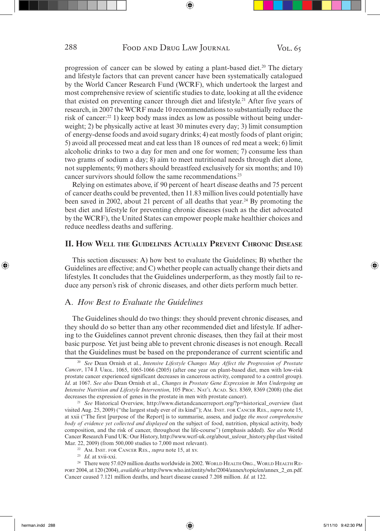progression of cancer can be slowed by eating a plant-based diet.<sup>20</sup> The dietary and lifestyle factors that can prevent cancer have been systematically catalogued by the World Cancer Research Fund (WCRF), which undertook the largest and most comprehensive review of scientific studies to date, looking at all the evidence that existed on preventing cancer through diet and lifestyle.21 After five years of research, in 2007 the WCRF made 10 recommendations to substantially reduce the risk of cancer:22 1) keep body mass index as low as possible without being underweight; 2) be physically active at least 30 minutes every day; 3) limit consumption of energy-dense foods and avoid sugary drinks; 4) eat mostly foods of plant origin; 5) avoid all processed meat and eat less than 18 ounces of red meat a week; 6) limit alcoholic drinks to two a day for men and one for women; 7) consume less than two grams of sodium a day; 8) aim to meet nutritional needs through diet alone, not supplements; 9) mothers should breastfeed exclusively for six months; and 10) cancer survivors should follow the same recommendations.23

Relying on estimates above, if 90 percent of heart disease deaths and 75 percent of cancer deaths could be prevented, then 11.83 million lives could potentially have been saved in 2002, about 21 percent of all deaths that year.<sup>24</sup> By promoting the best diet and lifestyle for preventing chronic diseases (such as the diet advocated by the WCRF), the United States can empower people make healthier choices and reduce needless deaths and suffering.

#### **II. HOW WELL THE GUIDELINES ACTUALLY PREVENT CHRONIC DISEASE**

This section discusses: A) how best to evaluate the Guidelines; B) whether the Guidelines are effective; and C) whether people can actually change their diets and lifestyles. It concludes that the Guidelines underperform, as they mostly fail to reduce any person's risk of chronic diseases, and other diets perform much better.

# A. *How Best to Evaluate the Guidelines*

The Guidelines should do two things: they should prevent chronic diseases, and they should do so better than any other recommended diet and lifestyle. If adhering to the Guidelines cannot prevent chronic diseases, then they fail at their most basic purpose. Yet just being able to prevent chronic diseases is not enough. Recall that the Guidelines must be based on the preponderance of current scientific and

<sup>20</sup>*See* Dean Ornish et al., *Intensive Lifestyle Changes May Affect the Progression of Prostate Cancer*, 174 J. UROL. 1065, 1065-1066 (2005) (after one year on plant-based diet, men with low-risk prostate cancer experienced significant decreases in cancerous activity, compared to a control group). *Id*. at 1067. *See also* Dean Ornish et al., *Changes in Prostate Gene Expression in Men Undergoing an Intensive Nutrition and Lifestyle Intervention*, 105 PROC. NAT'L ACAD. SCI. 8369, 8369 (2008) (the diet decreases the expression of genes in the prostate in men with prostate cancer).

<sup>&</sup>lt;sup>21</sup> See Historical Overview, http://www.dietandcancerreport.org/?p=historical\_overview (last visited Aug. 25, 2009) ("the largest study ever of its kind"); AM. INST. FOR CANCER RES., *supra* note 15, at xxii ("The first [purpose of the Report] is to summarise, assess, and judge *the most comprehensive body of evidence yet collected and displayed* on the subject of food, nutrition, physical activity, body composition, and the risk of cancer, throughout the life-course") (emphasis added). *See also* World Cancer Research Fund UK: Our History, http://www.wcrf-uk.org/about\_us/our\_history.php (last visited Mar. 22, 2009) (from 500,000 studies to 7,000 most relevant).

<sup>22</sup> AM. INST. FOR CANCER RES., *supra* note 15, at xv. 23 *Id*. at xvii-xxi.

<sup>&</sup>lt;sup>24</sup> There were 57.029 million deaths worldwide in 2002. WORLD HEALTH ORG., WORLD HEALTH RE-PORT 2004, at 120 (2004), *available at* http://www.who.int/entity/whr/2004/annex/topic/en/annex\_2\_en.pdf. Cancer caused 7.121 million deaths, and heart disease caused 7.208 million. *Id*. at 122.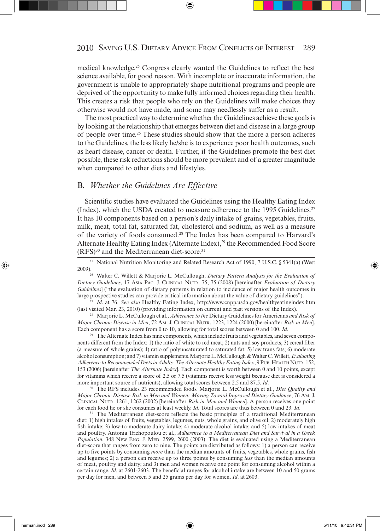medical knowledge.25 Congress clearly wanted the Guidelines to reflect the best science available, for good reason. With incomplete or inaccurate information, the government is unable to appropriately shape nutritional programs and people are deprived of the opportunity to make fully informed choices regarding their health. This creates a risk that people who rely on the Guidelines will make choices they otherwise would not have made, and some may needlessly suffer as a result.

The most practical way to determine whether the Guidelines achieve these goals is by looking at the relationship that emerges between diet and disease in a large group of people over time.26 These studies should show that the more a person adheres to the Guidelines, the less likely he/she is to experience poor health outcomes, such as heart disease, cancer or death. Further, if the Guidelines promote the best diet possible, these risk reductions should be more prevalent and of a greater magnitude when compared to other diets and lifestyles.

#### B. *Whether the Guidelines Are Effective*

Scientific studies have evaluated the Guidelines using the Healthy Eating Index (Index), which the USDA created to measure adherence to the 1995 Guidelines.<sup>27</sup> It has 10 components based on a person's daily intake of grains, vegetables, fruits, milk, meat, total fat, saturated fat, cholesterol and sodium, as well as a measure of the variety of foods consumed.28 The Index has been compared to Harvard's Alternate Healthy Eating Index (Alternate Index),<sup>29</sup> the Recommended Food Score (RFS)30 and the Mediterranean diet-score.31

<sup>27</sup>*Id*. at 76. *See also* Healthy Eating Index, http://www.cnpp.usda.gov/healthyeatingindex.htm (last visited Mar. 23, 2010) (providing information on current and past versions of the Index). 28 Marjorie L. McCullough et al., *Adherence to the* Dietary Guidelines for Americans *and Risk of* 

*Major Chronic Disease in Men*, 72 AM. J. CLINICAL NUTR. 1223, 1224 (2000) [hereinafter *Risk in Men*]. Each component has a score from 0 to 10, allowing for total scores between 0 and 100. *Id*.

<sup>29</sup> The Alternate Index has nine components, which include fruits and vegetables, and seven components different from the Index: 1) the ratio of white to red meat; 2) nuts and soy products; 3) cereal fiber (a measure of whole grains); 4) ratio of polyunsaturated to saturated fat; 5) low trans fats; 6) moderate alcohol consumption; and 7) vitamin supplements. Marjorie L. McCullough & Walter C. Willett, *Evaluating Adherence to Recommended Diets in Adults: The Alternate Healthy Eating Index*, 9 PUB. HEALTH NUTR. 152, 153 (2006) [hereinafter *The Alternate Index*]. Each component is worth between 0 and 10 points, except for vitamins which receive a score of 2.5 or 7.5 (vitamins receive less weight because diet is considered a more important source of nutrients), allowing total scores between 2.5 and 87.5. *Id*.

30 The RFS includes 23 recommended foods. Marjorie L. McCullough et al., *Diet Quality and Major Chronic Disease Risk in Men and Women: Moving Toward Improved Dietary Guidance*, 76 AM. J. CLINICAL NUTR. 1261, 1262 (2002) [hereinafter *Risk in Men and Women*]. A person receives one point

<sup>31</sup> The Mediterranean diet-score reflects the basic principles of a traditional Mediterranean diet: 1) high intakes of fruits, vegetables, legumes, nuts, whole grains, and olive oil; 2) moderately high fish intake; 3) low-to-moderate dairy intake; 4) moderate alcohol intake; and 5) low intakes of meat and poultry. Antonia Trichopoulou et al., *Adherence to a Mediterranean Diet and Survival in a Greek Population*, 348 NEW ENG. J. MED. 2599, 2600 (2003). The diet is evaluated using a Mediterranean diet-score that ranges from zero to nine. The points are distributed as follows: 1) a person can receive up to five points by consuming *more* than the median amounts of fruits, vegetables, whole grains, fish and legumes; 2) a person can receive up to three points by consuming *less* than the median amounts of meat, poultry and dairy; and 3) men and women receive one point for consuming alcohol within a certain range. *Id*. at 2601-2603. The beneficial ranges for alcohol intake are between 10 and 50 grams per day for men, and between 5 and 25 grams per day for women. *Id*. at 2603.

<sup>&</sup>lt;sup>25</sup> National Nutrition Monitoring and Related Research Act of 1990, 7 U.S.C. § 5341(a) (West 2009).

<sup>&</sup>lt;sup>26</sup> Walter C. Willett & Marjorie L. McCullough, *Dietary Pattern Analysis for the Evaluation of Dietary Guidelines*, 17 ASIA PAC. J. CLINICAL NUTR. 75, 75 (2008) [hereinafter *Evaluation of Dietary Guidelines*] ("the evaluation of dietary patterns in relation to incidence of major health outcomes in large prospective studies can provide critical information about the value of dietary guidelines").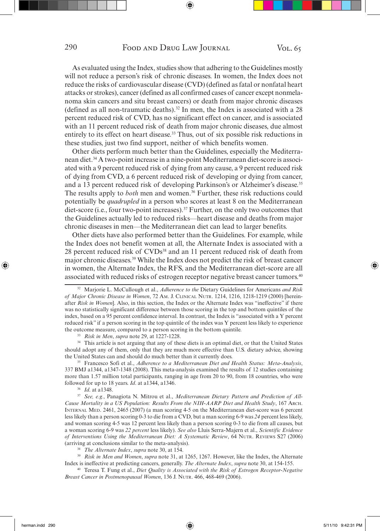As evaluated using the Index, studies show that adhering to the Guidelines mostly will not reduce a person's risk of chronic diseases. In women, the Index does not reduce the risks of cardiovascular disease (CVD) (defined as fatal or nonfatal heart attacks or strokes), cancer (defined as all confirmed cases of cancer except nonmelanoma skin cancers and situ breast cancers) or death from major chronic diseases (defined as all non-traumatic deaths).<sup>32</sup> In men, the Index is associated with a  $28$ percent reduced risk of CVD, has no significant effect on cancer, and is associated with an 11 percent reduced risk of death from major chronic diseases, due almost entirely to its effect on heart disease.<sup>33</sup> Thus, out of six possible risk reductions in these studies, just two find support, neither of which benefits women.

Other diets perform much better than the Guidelines, especially the Mediterranean diet.34 A two-point increase in a nine-point Mediterranean diet-score is associated with a 9 percent reduced risk of dying from any cause, a 9 percent reduced risk of dying from CVD, a 6 percent reduced risk of developing or dying from cancer, and a 13 percent reduced risk of developing Parkinson's or Alzheimer's disease.35 The results apply to *both* men and women.<sup>36</sup> Further, these risk reductions could potentially be *quadrupled* in a person who scores at least 8 on the Mediterranean diet-score (i.e., four two-point increases).37 Further, on the only two outcomes that the Guidelines actually led to reduced risks—heart disease and deaths from major chronic diseases in men—the Mediterranean diet can lead to larger benefits.

Other diets have also performed better than the Guidelines. For example, while the Index does not benefit women at all, the Alternate Index is associated with a 28 percent reduced risk of CVDs<sup>38</sup> and an 11 percent reduced risk of death from major chronic diseases.39 While the Index does not predict the risk of breast cancer in women, the Alternate Index, the RFS, and the Mediterranean diet-score are all associated with reduced risks of estrogen receptor negative breast cancer tumors.40

<sup>34</sup> This article is not arguing that any of these diets is an optimal diet, or that the United States should adopt any of them, only that they are much more effective than U.S. dietary advice, showing the United States can and should do much better than it currently does. 35 Francesco Sofi et al., *Adherence to a Mediterranean Diet and Health Status: Meta-Analysis*,

337 BMJ a1344, a1347-1348 (2008). This meta-analysis examined the results of 12 studies containing more than 1.57 million total participants, ranging in age from 20 to 90, from 18 countries, who were followed for up to 18 years. *Id*. at a1344, a1346.

<sup>36</sup>*Id*. at a1348. 37 *See, e.g.*, Panagiota N. Mitrou et al., *Mediterranean Dietary Pattern and Prediction of All-Cause Mortality in a US Population: Results From the NIH-AARP Diet and Health Study*, 167 ARCH. INTERNAL MED. 2461, 2465 (2007) (a man scoring 4-5 on the Mediterranean diet-score was 6 percent less likely than a person scoring 0-3 to die from a CVD, but a man scoring 6-9 was *24* percent less likely, and woman scoring 4-5 was 12 percent less likely than a person scoring 0-3 to die from all causes, but a woman scoring 6-9 was *22 percent* less likely). *See also* Lluis Serra-Majern et al., *Scientific Evidence of Interventions Using the Mediterranean Diet: A Systematic Review*, 64 NUTR. REVIEWS S27 (2006) (arriving at conclusions similar to the meta-analysis).<br><sup>38</sup> *The Alternate Index, supra* note 30, at 154.<br><sup>39</sup> *Risk in Men and Women, supra* note 31, at 1265, 1267. However, like the Index, the Alternate

Index is ineffective at predicting cancers, generally. *The Alternate Index*, *supra* note 30, at 154-155.

40 Teresa T. Fung et al., *Diet Quality is Associated with the Risk of Estrogen Receptor-Negative Breast Cancer in Postmenopausal Women*, 136 J. NUTR. 466, 468-469 (2006).

<sup>32</sup> Marjorie L. McCullough et al., *Adherence to the* Dietary Guidelines for Americans *and Risk of Major Chronic Disease in Women*, 72 AM. J. CLINICAL NUTR. 1214, 1216, 1218-1219 (2000) [hereinafter *Risk in Women*]. Also, in this section, the Index or the Alternate Index was "ineffective" if there was no statistically significant difference between those scoring in the top and bottom quintiles of the index, based on a 95 percent confidence interval. In contrast, the Index is "associated with a Y percent reduced risk" if a person scoring in the top quintile of the index was Y percent less likely to experience the outcome measure, compared to a person scoring in the bottom quintile.

<sup>33</sup>*Risk in Men*, *supra* note 29, at 1227-1228.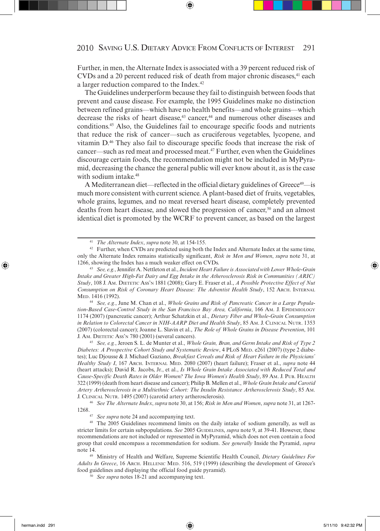Further, in men, the Alternate Index is associated with a 39 percent reduced risk of  $CVDs$  and a 20 percent reduced risk of death from major chronic diseases, $41$  each a larger reduction compared to the Index.42

The Guidelines underperform because they fail to distinguish between foods that prevent and cause disease. For example, the 1995 Guidelines make no distinction between refined grains—which have no health benefits—and whole grains—which decrease the risks of heart disease,<sup>43</sup> cancer,<sup>44</sup> and numerous other diseases and conditions.45 Also, the Guidelines fail to encourage specific foods and nutrients that reduce the risk of cancer—such as cruciferous vegetables, lycopene, and vitamin D.46 They also fail to discourage specific foods that increase the risk of cancer—such as red meat and processed meat.47 Further, even when the Guidelines discourage certain foods, the recommendation might not be included in MyPyramid, decreasing the chance the general public will ever know about it, as is the case with sodium intake.<sup>48</sup>

A Mediterranean diet—reflected in the official dietary guidelines of Greece<sup>49</sup>—is much more consistent with current science. A plant-based diet of fruits, vegetables, whole grains, legumes, and no meat reversed heart disease, completely prevented deaths from heart disease, and slowed the progression of cancer,<sup>50</sup> and an almost identical diet is promoted by the WCRF to prevent cancer, as based on the largest

44 *See, e.g.*, June M. Chan et al., *Whole Grains and Risk of Pancreatic Cancer in a Large Population-Based Case-Control Study in the San Francisco Bay Area, California*, 166 AM. J. EPIDEMIOLOGY 1174 (2007) (pancreatic cancer); Arthur Schatzkin et al., *Dietary Fiber and Whole-Grain Consumption in Relation to Colorectal Cancer in NIH-AARP Diet and Health Study*, 85 AM. J. CLINICAL NUTR. 1353 (2007) (colorectal cancer); Joanne L. Slavin et al., *The Role of Whole Grains in Disease Prevention*, 101

J. AM. DIETETIC ASS'N 780 (2001) (several cancers). 45 *See, e.g.*, Jeroen S. L. de Munter et al., *Whole Grain, Bran, and Germ Intake and Risk of Type 2 Diabetes: A Prospective Cohort Study and Systematic Review*, 4 PLOS MED. e261 (2007) (type 2 diabetes); Luc Djousse & J. Michael Gaziano, *Breakfast Cereals and Risk of Heart Failure in the Physicians' Healthy Study I*, 167 ARCH. INTERNAL MED. 2080 (2007) (heart failure); Fraser et al., *supra* note 44 (heart attacks); David R. Jacobs, Jr., et al., *Is Whole Grain Intake Associated with Reduced Total and Cause-Specific Death Rates in Older Women? The Iowa Women's Health Study*, 89 AM. J. PUB. HEALTH 322 (1999) (death from heart disease and cancer); Philip B. Mellen et al., *Whole Grain Intake and Carotid Artery Artherosclerosis in a Multiethnic Cohort: The Insulin Resistance Artherosclerosis Study*, 85 AM. J. CLINICAL NUTR. 1495 (2007) (carotid artery artherosclerosis).

<sup>46</sup>*See The Alternate Index*, *supra* note 30, at 156; *Risk in Men and Women*, *supra* note 31, at 1267-

1268. 47 *See supra* note 24 and accompanying text. 48 The 2005 Guidelines recommend limits on the daily intake of sodium generally, as well as stricter limits for certain subpopulations. *See* 2005 GUIDELINES, *supra* note 9, at 39-41. However, these recommendations are not included or represented in MyPyramid, which does not even contain a food group that could encompass a recommendation for sodium. *See generally* Inside the Pyramid, *supra* note 14. 49 Ministry of Health and Welfare, Supreme Scientific Health Council, *Dietary Guidelines For* 

*Adults In Greece*, 16 ARCH. HELLENIC MED. 516, 519 (1999) (describing the development of Greece's food guidelines and displaying the official food guide pyramid).

<sup>50</sup>*See supra* notes 18-21 and accompanying text.

<sup>&</sup>lt;sup>41</sup> *The Alternate Index, supra* note 30, at 154-155.<br><sup>42</sup> Further, when CVDs are predicted using both the Index and Alternate Index at the same time, only the Alternate Index remains statistically significant, *Risk in Men and Women*, *supra* note 31, at 1266, showing the Index has a much weaker effect on CVDs.

<sup>43</sup>*See, e.g.*, Jennifer A. Nettleton et al., *Incident Heart Failure is Associated with Lower Whole-Grain Intake and Greater High-Fat Dairy and Egg Intake in the Atherosclerosis Risk in Communities (ARIC) Study*, 108 J. AM. DIETETIC ASS'N 1881 (2008); Gary E. Fraser et al., *A Possible Protective Effect of Nut Consumption on Risk of Coronary Heart Disease: The Adventist Health Study*, 152 ARCH. INTERNAL MED. 1416 (1992).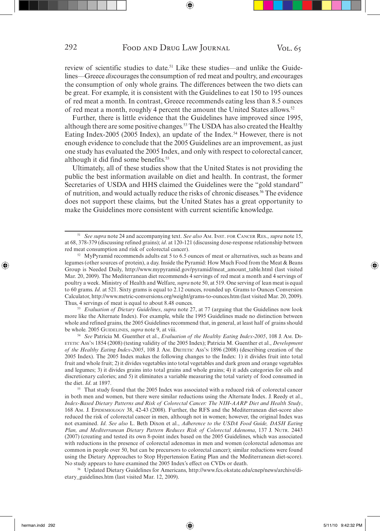review of scientific studies to date.51 Like these studies—and unlike the Guidelines—Greece *dis*courages the consumption of red meat and poultry, and *en*courages the consumption of only whole grains. The differences between the two diets can be great. For example, it is consistent with the Guidelines to eat 150 to 195 ounces of red meat a month. In contrast, Greece recommends eating less than 8.5 ounces of red meat a month, roughly 4 percent the amount the United States allows.52

Further, there is little evidence that the Guidelines have improved since 1995, although there are some positive changes.53 The USDA has also created the Healthy Eating Index-2005 (2005 Index), an update of the Index.<sup>54</sup> However, there is not enough evidence to conclude that the 2005 Guidelines are an improvement, as just one study has evaluated the 2005 Index, and only with respect to colorectal cancer, although it did find some benefits.<sup>55</sup>

Ultimately, all of these studies show that the United States is not providing the public the best information available on diet and health. In contrast, the former Secretaries of USDA and HHS claimed the Guidelines were the "gold standard" of nutrition, and would actually reduce the risks of chronic diseases.<sup>56</sup> The evidence does not support these claims, but the United States has a great opportunity to make the Guidelines more consistent with current scientific knowledge.

Thus, 4 servings of meat is equal to about 8.48 ounces. 53 *Evaluation of Dietary Guidelines*, *supra* note 27, at 77 (arguing that the Guidelines now look more like the Alternate Index). For example, while the 1995 Guidelines made no distinction between whole and refined grains, the 2005 Guidelines recommend that, in general, at least half of grains should be whole. 2005 GUIDELINES, *supra* note 9, at viii.

54 *See* Patricia M. Guenther et al., *Evaluation of the Healthy Eating Index-2005*, 108 J. AM. DI-ETETIC ASS'N 1854 (2008) (testing validity of the 2005 Index); Patricia M. Guenther et al., *Development of the Healthy Eating Index-2005*, 108 J. AM. DIETETIC Ass'N 1896 (2008) (describing creation of the 2005 Index). The 2005 Index makes the following changes to the Index: 1) it divides fruit into total fruit and whole fruit; 2) it divides vegetables into total vegetables and dark green and orange vegetables and legumes; 3) it divides grains into total grains and whole grains; 4) it adds categories for oils and discretionary calories; and 5) it eliminates a variable measuring the total variety of food consumed in the diet. *Id*. at 1897.

<sup>55</sup> That study found that the 2005 Index was associated with a reduced risk of colorectal cancer in both men and women, but there were similar reductions using the Alternate Index. J. Reedy et al., *Index-Based Dietary Patterns and Risk of Colorectal Cancer: The NIH-AARP Diet and Health Study*, 168 AM. J. EPIDEMIOLOGY 38, 42-43 (2008). Further, the RFS and the Mediterranean diet-score also reduced the risk of colorectal cancer in men, although not in women; however, the original Index was not examined. *Id*. *See also* L. Beth Dixon et al., *Adherence to the USDA Food Guide, DASH Eating Plan, and Mediterranean Dietary Pattern Reduces Risk of Colorectal Adenoma*, 137 J. NUTR. 2443 (2007) (creating and tested its own 8-point index based on the 2005 Guidelines, which was associated with reductions in the presence of colorectal adenomas in men and women (colorectal adenomas are common in people over 50, but can be precursors to colorectal cancer); similar reductions were found using the Dietary Approaches to Stop Hypertension Eating Plan and the Mediterranean diet-score).

No study appears to have examined the 2005 Index's effect on CVDs or death. 56 Updated Dietary Guidelines for Americans, http://www.fcs.okstate.edu/cnep/news/archive/dietary\_guidelines.htm (last visited Mar. 12, 2009).

<sup>51</sup>*See supra* note 24 and accompanying text. *See also* AM. INST. FOR CANCER RES., *supra* note 15, at 68, 378-379 (discussing refined grains); *id*. at 120-121 (discussing dose-response relationship between red meat consumption and risk of colorectal cancer). 52 MyPyramid recommends adults eat 5 to 6.5 ounces of meat or alternatives, such as beans and

legumes (other sources of protein), a day. Inside the Pyramid: How Much Food from the Meat & Beans Group is Needed Daily, http://www.mypyramid.gov/pyramid/meat\_amount\_table.html (last visited Mar. 20, 2009). The Mediterranean diet recommends 4 servings of red meat a month and 4 servings of poultry a week. Ministry of Health and Welfare, *supra* note 50, at 519. One serving of lean meat is equal to 60 grams. *Id*. at 521. Sixty grams is equal to 2.12 ounces, rounded up. Grams to Ounces Conversion Calculator, http://www.metric-conversions.org/weight/grams-to-ounces.htm (last visited Mar. 20, 2009).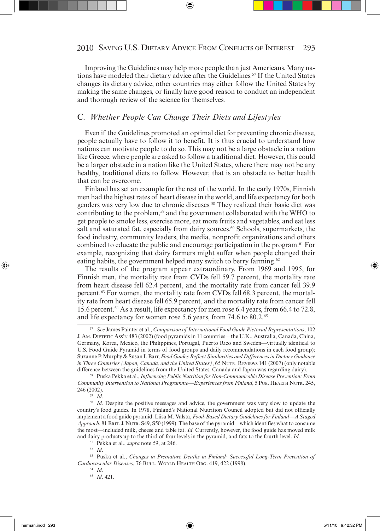Improving the Guidelines may help more people than just Americans. Many nations have modeled their dietary advice after the Guidelines.57 If the United States changes its dietary advice, other countries may either follow the United States by making the same changes, or finally have good reason to conduct an independent and thorough review of the science for themselves.

#### C. *Whether People Can Change Their Diets and Lifestyles*

Even if the Guidelines promoted an optimal diet for preventing chronic disease, people actually have to follow it to benefit. It is thus crucial to understand how nations can motivate people to do so. This may not be a large obstacle in a nation like Greece, where people are asked to follow a traditional diet. However, this could be a larger obstacle in a nation like the United States, where there may not be any healthy, traditional diets to follow. However, that is an obstacle to better health that can be overcome.

Finland has set an example for the rest of the world. In the early 1970s, Finnish men had the highest rates of heart disease in the world, and life expectancy for both genders was very low due to chronic diseases.<sup>58</sup> They realized their basic diet was contributing to the problem,<sup>59</sup> and the government collaborated with the WHO to get people to smoke less, exercise more, eat more fruits and vegetables, and eat less salt and saturated fat, especially from dairy sources.<sup>60</sup> Schools, supermarkets, the food industry, community leaders, the media, nonprofit organizations and others combined to educate the public and encourage participation in the program.61 For example, recognizing that dairy farmers might suffer when people changed their eating habits, the government helped many switch to berry farming.<sup>62</sup>

The results of the program appear extraordinary. From 1969 and 1995, for Finnish men, the mortality rate from CVDs fell 59.7 percent, the mortality rate from heart disease fell 62.4 percent, and the mortality rate from cancer fell 39.9 percent.63 For women, the mortality rate from CVDs fell 68.3 percent, the mortality rate from heart disease fell 65.9 percent, and the mortality rate from cancer fell 15.6 percent.64 As a result, life expectancy for men rose 6.4 years, from 66.4 to 72.8, and life expectancy for women rose 5.6 years, from 74.6 to 80.2.<sup>65</sup>

<sup>57</sup>*See* James Painter et al., *Comparison of International Food Guide Pictorial Representations*, 102 J. AM. DIETETIC ASS'N 483 (2002) (food pyramids in 11 countries—the U.K., Australia, Canada, China, Germany, Korea, Mexico, the Philippines, Portugal, Puerto Rico and Sweden—virtually identical to U.S. Food Guide Pyramid in terms of food groups and daily recommendations in each food group); Suzanne P. Murphy & Susan I. Barr, *Food Guides Reflect Similarities and Differences in Dietary Guidance in Three Countries (Japan, Canada, and the United States)*, 65 NUTR. REVIEWS 141 (2007) (only notable difference between the guidelines from the United States, Canada and Japan was regarding dairy).

<sup>58</sup> Puska Pekka et al., *Influencing Public Nutrition for Non-Communicable Disease Prevention: From Community Intervention to National Programme—Experiences from Finland*, 5 PUB. HEALTH NUTR. 245, <sup>59</sup> *Id.* <sup>59</sup> *Id.* Despite the positive messages and advice, the government was very slow to update the <sup>60</sup> *Id.* Despite the positive messages and advice, the government was very slow to update the

country's food guides. In 1978, Finland's National Nutrition Council adopted but did not officially implement a food guide pyramid. Liisa M. Valsta, *Food-Based Dietary Guidelines for Finland—A Staged Approach*, 81 BRIT. J. NUTR. S49, S50 (1999). The base of the pyramid—which identifies what to consume the most—included milk, cheese and table fat. *Id*. Currently, however, the food guide has moved milk and dairy products up to the third of four levels in the pyramid, and fats to the fourth level. *Id.* <sup>61</sup> Pekka et al., *supra* note 59, at 246.

<sup>62</sup>*Id*. 63 Puska et al., *Changes in Premature Deaths in Finland: Successful Long-Term Prevention of Cardiovascular Diseases*, 76 BULL. WORLD HEALTH ORG. 419, 422 (1998). 64 *Id*. 65 *Id*. 421.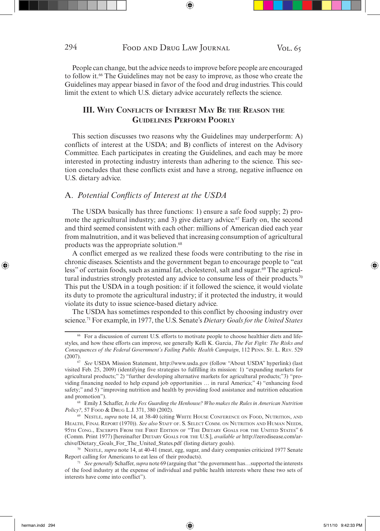People can change, but the advice needs to improve before people are encouraged to follow it.<sup>66</sup> The Guidelines may not be easy to improve, as those who create the Guidelines may appear biased in favor of the food and drug industries. This could limit the extent to which U.S. dietary advice accurately reflects the science.

# **III. WHY CONFLICTS OF INTEREST MAY BE THE REASON THE GUIDELINES PERFORM POORLY**

This section discusses two reasons why the Guidelines may underperform: A) conflicts of interest at the USDA; and B) conflicts of interest on the Advisory Committee. Each participates in creating the Guidelines, and each may be more interested in protecting industry interests than adhering to the science. This section concludes that these conflicts exist and have a strong, negative influence on U.S. dietary advice.

#### A. Potential Conflicts of Interest at the USDA

The USDA basically has three functions: 1) ensure a safe food supply; 2) promote the agricultural industry; and 3) give dietary advice.<sup>67</sup> Early on, the second and third seemed consistent with each other: millions of American died each year from malnutrition, and it was believed that increasing consumption of agricultural products was the appropriate solution.68

A conflict emerged as we realized these foods were contributing to the rise in chronic diseases. Scientists and the government began to encourage people to "eat less" of certain foods, such as animal fat, cholesterol, salt and sugar.<sup>69</sup> The agricultural industries strongly protested any advice to consume less of their products.<sup>70</sup> This put the USDA in a tough position: if it followed the science, it would violate its duty to promote the agricultural industry; if it protected the industry, it would violate its duty to issue science-based dietary advice.

The USDA has sometimes responded to this conflict by choosing industry over science.71 For example, in 1977, the U.S. Senate's *Dietary Goals for the United States*

<sup>&</sup>lt;sup>66</sup> For a discussion of current U.S. efforts to motivate people to choose healthier diets and lifestyles, and how these efforts can improve, see generally Kelli K. Garcia, *The Fat Fight: The Risks and Consequences of the Federal Government's Failing Public Health Campaign*, 112 PENN. ST. L. REV. 529 (2007).

<sup>67</sup>*See* USDA Mission Statement, http://www.usda.gov (follow "About USDA" hyperlink) (last visited Feb. 25, 2009) (identifying five strategies to fulfilling its mission: 1) "expanding markets for agricultural products;" 2) "further developing alternative markets for agricultural products;"3) "providing financing needed to help expand job opportunities … in rural America;" 4) "enhancing food safety;" and 5) "improving nutrition and health by providing food assistance and nutrition education and promotion"). 68 Emily J. Schaffer, *Is the Fox Guarding the Henhouse? Who makes the Rules in American Nutrition* 

*Policy?*, 57 FOOD & DRUG L.J. 371, 380 (2002).<br><sup>69</sup> NESTLE, *supra* note 14, at 38-40 (citing WHITE HOUSE CONFERENCE ON FOOD, NUTRITION, AND

HEALTH, FINAL REPORT (1970)). *See also* STAFF OF. S. SELECT COMM. ON NUTRITION AND HUMAN NEEDS, 95TH CONG., EXCERPTS FROM THE FIRST EDITION OF "THE DIETARY GOALS FOR THE UNITED STATES" 6 (Comm. Print 1977) [hereinafter DIETARY GOALS FOR THE U.S.], *available at* http://zerodisease.com/archive/Dietary\_Goals\_For\_The\_United\_States.pdf (listing dietary goals). 70 NESTLE, *supra* note 14, at 40-41 (meat, egg, sugar, and dairy companies criticized 1977 Senate

Report calling for Americans to eat less of their products).<br><sup>71</sup> *See generally* Schaffer, *supra* note 69 (arguing that "the government has... supported the interests

of the food industry at the expense of individual and public health interests where these two sets of interests have come into conflict").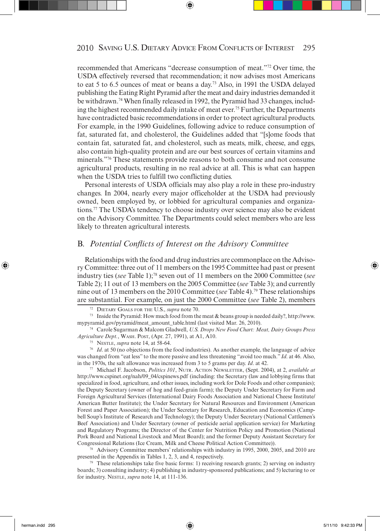recommended that Americans "decrease consumption of meat."72 Over time, the USDA effectively reversed that recommendation; it now advises most Americans to eat 5 to 6.5 ounces of meat or beans a day.73 Also, in 1991 the USDA delayed publishing the Eating Right Pyramid after the meat and dairy industries demanded it be withdrawn.74 When finally released in 1992, the Pyramid had 33 changes, including the highest recommended daily intake of meat ever.<sup>75</sup> Further, the Departments have contradicted basic recommendations in order to protect agricultural products. For example, in the 1990 Guidelines, following advice to reduce consumption of fat, saturated fat, and cholesterol, the Guidelines added that "[s]ome foods that contain fat, saturated fat, and cholesterol, such as meats, milk, cheese, and eggs, also contain high-quality protein and are our best sources of certain vitamins and minerals."76 These statements provide reasons to both consume and not consume agricultural products, resulting in no real advice at all. This is what can happen when the USDA tries to fulfill two conflicting duties.

Personal interests of USDA officials may also play a role in these pro-industry changes. In 2004, nearly every major officeholder at the USDA had previously owned, been employed by, or lobbied for agricultural companies and organizations.77 The USDA's tendency to choose industry over science may also be evident on the Advisory Committee. The Departments could select members who are less likely to threaten agricultural interests.

#### B. Potential Conflicts of Interest on the Advisory Committee

Relationships with the food and drug industries are commonplace on the Advisory Committee: three out of 11 members on the 1995 Committee had past or present industry ties (*see* Table 1);78 seven out of 11 members on the 2000 Committee (*see* Table 2); 11 out of 13 members on the 2005 Committee (*see* Table 3); and currently nine out of 13 members on the 2010 Committee (*see* Table 4).79 These relationships are substantial. For example, on just the 2000 Committee (*see* Table 2), members

*Agriculture Dept.*, WASH. POST, (Apr. 27, 1991), at A1, A10. 75 NESTLE, *supra* note 14, at 58-64.

<sup>76</sup> *Id.* at 50 (no objections from the food industries). As another example, the language of advice was changed from "eat less" to the more passive and less threatening "avoid too much." *Id*. at 46. Also, in the 1970s, the salt allowance was increased from 3 to 5 grams per day. *Id*. at 42.

77 Michael F. Jacobson, *Politics 101*, NUTR. ACTION NEWSLETTER, (Sept. 2004), at 2, *available at* http://www.cspinet.org/nah/09\_04/cspinews.pdf (including: the Secretary (law and lobbying firms that specialized in food, agriculture, and other issues, including work for Dole Foods and other companies); the Deputy Secretary (owner of hog and feed-grain farm); the Deputy Under Secretary for Farm and Foreign Agricultural Services (International Dairy Foods Association and National Cheese Institute/ American Butter Institute); the Under Secretary for Natural Resources and Environment (American Forest and Paper Association); the Under Secretary for Research, Education and Economics (Campbell Soup's Institute of Research and Technology); the Deputy Under Secretary (National Cattlemen's Beef Association) and Under Secretary (owner of pesticide aerial application service) for Marketing and Regulatory Programs; the Director of the Center for Nutrition Policy and Promotion (National Pork Board and National Livestock and Meat Board); and the former Deputy Assistant Secretary for Congressional Relations (Ice Cream, Milk and Cheese Political Action Committee)).

78 Advisory Committee members' relationships with industry in 1995, 2000, 2005, and 2010 are presented in the Appendix in Tables 1, 2, 3, and 4, respectively.

<sup>79</sup> These relationships take five basic forms: 1) receiving research grants; 2) serving on industry boards; 3) consulting industry; 4) publishing in industry-sponsored publications; and 5) lecturing to or for industry. NESTLE, *supra* note 14, at 111-136.

<sup>72</sup> DIETARY GOALS FOR THE U.S., *supra* note 70.

<sup>&</sup>lt;sup>73</sup> Inside the Pyramid: How much food from the meat  $\&$  beans group is needed daily?, http://www. mypyramid.gov/pyramid/meat\_amount\_table.html (last visited Mar. 26, 2010). 74 Carole Sugarman & Malcom Gladwell, *U.S. Drops New Food Chart: Meat, Dairy Groups Press*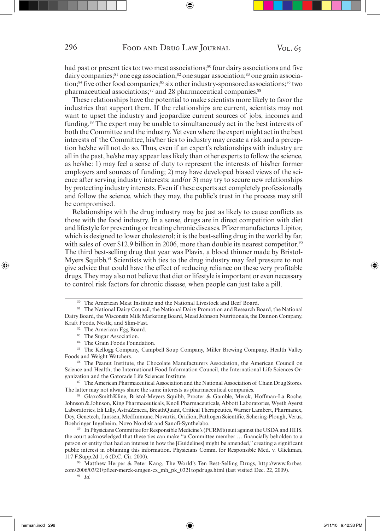had past or present ties to: two meat associations;<sup>80</sup> four dairy associations and five dairy companies;<sup>81</sup> one egg association;<sup>82</sup> one sugar association;<sup>83</sup> one grain association;<sup>84</sup> five other food companies;<sup>85</sup> six other industry-sponsored associations;<sup>86</sup> two pharmaceutical associations;<sup>87</sup> and 28 pharmaceutical companies.<sup>88</sup>

These relationships have the potential to make scientists more likely to favor the industries that support them. If the relationships are current, scientists may not want to upset the industry and jeopardize current sources of jobs, incomes and funding.89 The expert may be unable to simultaneously act in the best interests of both the Committee and the industry. Yet even where the expert might act in the best interests of the Committee, his/her ties to industry may create a risk and a perception he/she will not do so. Thus, even if an expert's relationships with industry are all in the past, he/she may appear less likely than other experts to follow the science, as he/she: 1) may feel a sense of duty to represent the interests of his/her former employers and sources of funding; 2) may have developed biased views of the science after serving industry interests; and/or 3) may try to secure new relationships by protecting industry interests. Even if these experts act completely professionally and follow the science, which they may, the public's trust in the process may still be compromised.

Relationships with the drug industry may be just as likely to cause conflicts as those with the food industry. In a sense, drugs are in direct competition with diet and lifestyle for preventing or treating chronic diseases. Pfizer manufactures Lipitor, which is designed to lower cholesterol; it is the best-selling drug in the world by far, with sales of over \$12.9 billion in 2006, more than double its nearest competitor.<sup>90</sup> The third best-selling drug that year was Plavix, a blood thinner made by Bristol-Myers Squibb.<sup>91</sup> Scientists with ties to the drug industry may feel pressure to not give advice that could have the effect of reducing reliance on these very profitable drugs. They may also not believe that diet or lifestyle is important or even necessary to control risk factors for chronic disease, when people can just take a pill.

- <sup>82</sup> The American Egg Board.
- 83 The Sugar Association.
- 84 The Grain Foods Foundation.

<sup>80</sup> The American Meat Institute and the National Livestock and Beef Board.

<sup>81</sup> The National Dairy Council, the National Dairy Promotion and Research Board, the National Dairy Board, the Wisconsin Milk Marketing Board, Mead Johnson Nutritionals, the Dannon Company, Kraft Foods, Nestle, and Slim-Fast.

<sup>85</sup> The Kellogg Company, Campbell Soup Company, Miller Brewing Company, Health Valley Foods and Weight Watchers.

<sup>&</sup>lt;sup>86</sup> The Peanut Institute, the Chocolate Manufacturers Association, the American Council on Science and Health, the International Food Information Council, the International Life Sciences Organization and the Gatorade Life Sciences Institute.

<sup>87</sup> The American Pharmaceutical Association and the National Association of Chain Drug Stores. The latter may not always share the same interests as pharmaceutical companies.<br><sup>88</sup> GlaxoSmithKline, Bristol-Meyers Squibb, Procter & Gamble, Merck, Hoffman-La Roche,

Johnson & Johnson, King Pharmaceuticals, Knoll Pharmaceuticals, Abbott Laboratories, Wyeth Ayerst Laboratories, Eli Lilly, AstraZeneca, BreathQuant, Critical Therapeutics, Warner Lambert, Pharmanex, Dey, Genetech, Janssen, MedImmune, Novartis, Oridion, Pathogen Scientific, Schering-Plough, Verus, Boehringer Ingelheim, Novo Nordisk and Sanofi-Synthelabo.

<sup>89</sup> In Physicians Committee for Responsible Medicine's (PCRM's) suit against the USDA and HHS, the court acknowledged that these ties can make "a Committee member … financially beholden to a person or entity that had an interest in how the [Guidelines] might be amended," creating a significant public interest in obtaining this information. Physicians Comm. for Responsible Med. v. Glickman, 117 F.Supp.2d 1, 6 (D.C. Cir. 2000).

<sup>90</sup> Matthew Herper & Peter Kang, The World's Ten Best-Selling Drugs, http://www.forbes. com/2006/03/21/pfizer-merck-amgen-cx\_mh\_pk\_0321topdrugs.html (last visited Dec. 22, 2009).<br><sup>91</sup> *Id*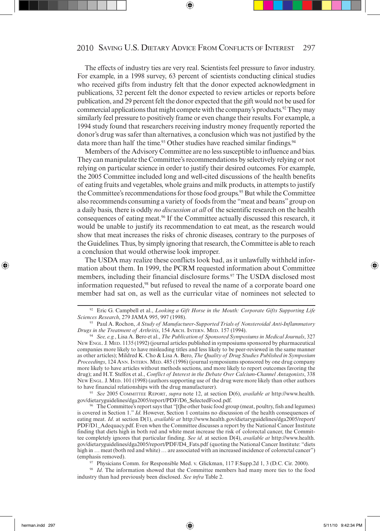The effects of industry ties are very real. Scientists feel pressure to favor industry. For example, in a 1998 survey, 63 percent of scientists conducting clinical studies who received gifts from industry felt that the donor expected acknowledgment in publications, 32 percent felt the donor expected to review articles or reports before publication, and 29 percent felt the donor expected that the gift would not be used for commercial applications that might compete with the company's products.<sup>92</sup> They may similarly feel pressure to positively frame or even change their results. For example, a 1994 study found that researchers receiving industry money frequently reported the donor's drug was safer than alternatives, a conclusion which was not justified by the data more than half the time.<sup>93</sup> Other studies have reached similar findings.<sup>94</sup>

Members of the Advisory Committee are no less susceptible to influence and bias. They can manipulate the Committee's recommendations by selectively relying or not relying on particular science in order to justify their desired outcomes. For example, the 2005 Committee included long and well-cited discussions of the health benefits of eating fruits and vegetables, whole grains and milk products, in attempts to justify the Committee's recommendations for those food groups.<sup>95</sup> But while the Committee also recommends consuming a variety of foods from the "meat and beans" group on a daily basis, there is oddly *no discussion at all* of the scientific research on the health consequences of eating meat.96 If the Committee actually discussed this research, it would be unable to justify its recommendation to eat meat, as the research would show that meat increases the risks of chronic diseases, contrary to the purposes of the Guidelines. Thus, by simply ignoring that research, the Committee is able to reach a conclusion that would otherwise look improper.

The USDA may realize these conflicts look bad, as it unlawfully withheld information about them. In 1999, the PCRM requested information about Committee members, including their financial disclosure forms.<sup>97</sup> The USDA disclosed most information requested,98 but refused to reveal the name of a corporate board one member had sat on, as well as the curricular vitae of nominees not selected to

<sup>95</sup>*See* 2005 COMMITTEE REPORT, *supra* note 12, at section D(6), *available at* http://www.health.

97 Physicians Comm. for Responsible Med. v. Glickman, 117 F.Supp.2d 1, 3 (D.C. Cir. 2000).

<sup>&</sup>lt;sup>92</sup> Eric G. Campbell et al., *Looking a Gift Horse in the Mouth: Corporate Gifts Supporting Life Sciences Research. 279 JAMA 995, 997 (1998).* 

<sup>&</sup>lt;sup>93</sup> Paul A. Rochon, *A Study of Manufacturer-Supported Trials of Nonsteroidal Anti-Inflammatory Drugs in the Treatment of Arthritis, 154 Arch. INTERN. MED. 157 (1994).* 

*Drugs in the Treatment of Arthritis*, 154 ARCH. INTERN. MED. 157 (1994). 94 *See, e.g.*, Lisa A. Bero et al., *The Publication of Sponsored Symposiums in Medical Journals*, 327 NEW ENGL. J. MED. 1135 (1992) (journal articles published in symposiums sponsored by pharmaceutical companies more likely to have misleading titles and less likely to be peer-reviewed in the same manner as other articles); Mildred K. Cho & Lisa A. Bero, *The Quality of Drug Studies Published in Symposium Proceedings*, 124 ANN. INTERN. MED. 485 (1996) (journal symposiums sponsored by one drug company more likely to have articles without methods sections, and more likely to report outcomes favoring the drug); and H.T. Stelfox et al., *Conflict of Interest in the Debate Over Calcium-Channel Antagonists*, 338 NEW ENGL. J. MED. 101 (1998) (authors supporting use of the drug were more likely than other authors to have financial relationships with the drug manufacturer).

The Committee's report says that "[t]he other basic food group (meat, poultry, fish and legumes) is covered in Section 1." *Id*. However, Section 1 contains no discussion of the health consequences of eating meat. *Id*. at section D(1), *available at* http://www.health.gov/dietaryguidelines/dga2005/report/ PDF/D1\_Adequacy.pdf. Even when the Committee discusses a report by the National Cancer Institute finding that diets high in both red and white meat increase the risk of colorectal cancer, the Committee completely ignores that particular finding. *See id*. at section D(4), *available at* http://www.health. gov/dietaryguidelines/dga2005/report/PDF/D4\_Fats.pdf (quoting the National Cancer Institute: "diets high in ... meat (both red and white) ... are associated with an increased incidence of colorectal cancer") (emphasis removed).

<sup>&</sup>lt;sup>98</sup> Id. The information showed that the Committee members had many more ties to the food industry than had previously been disclosed. *See infra* Table 2.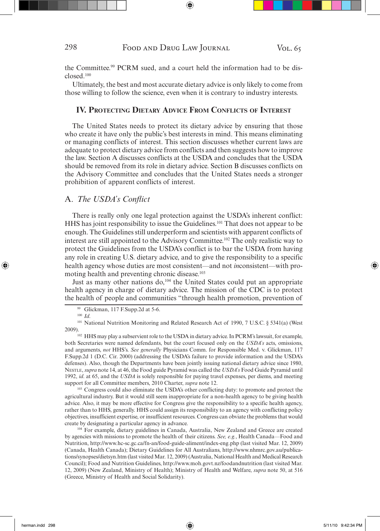the Committee.<sup>99</sup> PCRM sued, and a court held the information had to be disclosed.100

Ultimately, the best and most accurate dietary advice is only likely to come from those willing to follow the science, even when it is contrary to industry interests.

#### **IV. PROTECTING DIETARY ADVICE FROM CONFLICTS OF INTEREST**

The United States needs to protect its dietary advice by ensuring that those who create it have only the public's best interests in mind. This means eliminating or managing conflicts of interest. This section discusses whether current laws are adequate to protect dietary advice from conflicts and then suggests how to improve the law. Section A discusses conflicts at the USDA and concludes that the USDA should be removed from its role in dietary advice. Section B discusses conflicts on the Advisory Committee and concludes that the United States needs a stronger prohibition of apparent conflicts of interest.

#### A. The USDA's Conflict

There is really only one legal protection against the USDA's inherent conflict: HHS has joint responsibility to issue the Guidelines.101 That does not appear to be enough. The Guidelines still underperform and scientists with apparent conflicts of interest are still appointed to the Advisory Committee.102 The only realistic way to protect the Guidelines from the USDA's conflict is to bar the USDA from having any role in creating U.S. dietary advice, and to give the responsibility to a specific health agency whose duties are most consistent—and not *in*consistent—with promoting health and preventing chronic disease.<sup>103</sup>

Just as many other nations do,<sup>104</sup> the United States could put an appropriate health agency in charge of dietary advice. The mission of the CDC is to protect the health of people and communities "through health promotion, prevention of

<sup>101</sup> National Nutrition Monitoring and Related Research Act of 1990, 7 U.S.C. § 5341(a) (West 2009).

<sup>102</sup> HHS may play a subservient role to the USDA in dietary advice. In PCRM's lawsuit, for example, both Secretaries were named defendants, but the court focused only on the *USDA's* acts, omissions, and arguments, *not* HHS's. *See generally* Physicians Comm. for Responsible Med. v. Glickman, 117 F.Supp.2d 1 (D.C. Cir. 2000) (addressing the USDA's failure to provide information and the USDA's defenses). Also, though the Departments have been jointly issuing national dietary advice since 1980, NESTLE, *supra* note 14, at 46, the Food guide Pyramid was called the *USDA's* Food Guide Pyramid until 1992, *id*. at 65, and the *USDA* is solely responsible for paying travel expenses, per diems, and meeting support for all Committee members, 2010 Charter, *supra* note 12.<br><sup>103</sup> Congress could also eliminate the USDA's other conflicting duty: to promote and protect the

agricultural industry. But it would still seem inappropriate for a non-health agency to be giving health advice. Also, it may be more effective for Congress give the responsibility to a specific health agency, rather than to HHS, generally. HHS could assign its responsibility to an agency with conflicting policy objectives, insufficient expertise, or insufficient resources. Congress can obviate the problems that would create by designating a particular agency in advance.

104 For example, dietary guidelines in Canada, Australia, New Zealand and Greece are created by agencies with missions to promote the health of their citizens. *See, e.g.*, Health Canada—Food and Nutrition, http://www.hc-sc.gc.ca/fn-an/food-guide-aliment/index-eng.php (last visited Mar. 12, 2009) (Canada, Health Canada); Dietary Guidelines for All Australians, http://www.nhmrc.gov.au/publications/synopses/dietsyn.htm (last visited Mar. 12, 2009) (Australia, National Health and Medical Research Council); Food and Nutrition Guidelines, http://www.moh.govt.nz/foodandnutrition (last visited Mar. 12, 2009) (New Zealand, Ministry of Health); Ministry of Health and Welfare, *supra* note 50, at 516 (Greece, Ministry of Health and Social Solidarity).

<sup>99</sup> Glickman, 117 F.Supp.2d at 5-6. 100 *Id*.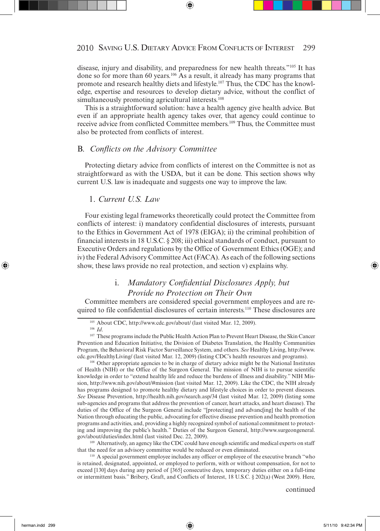disease, injury and disability, and preparedness for new health threats."105 It has done so for more than 60 years.106 As a result, it already has many programs that promote and research healthy diets and lifestyle.107 Thus, the CDC has the knowledge, expertise and resources to develop dietary advice, without the conflict of simultaneously promoting agricultural interests.<sup>108</sup>

This is a straightforward solution: have a health agency give health advice. But even if an appropriate health agency takes over, that agency could continue to receive advice from conflicted Committee members.109 Thus, the Committee must also be protected from conflicts of interest.

#### B. *Confl icts on the Advisory Committee*

Protecting dietary advice from conflicts of interest on the Committee is not as straightforward as with the USDA, but it can be done. This section shows why current U.S. law is inadequate and suggests one way to improve the law.

#### 1. *Current U.S. Law*

Four existing legal frameworks theoretically could protect the Committee from conflicts of interest: i) mandatory confidential disclosures of interests, pursuant to the Ethics in Government Act of 1978 (EIGA); ii) the criminal prohibition of financial interests in 18 U.S.C. § 208; iii) ethical standards of conduct, pursuant to Executive Orders and regulations by the Office of Government Ethics (OGE); and iv) the Federal Advisory Committee Act (FACA). As each of the following sections show, these laws provide no real protection, and section v) explains why.

# i. Mandatory Confidential Disclosures Apply, but  *Provide no Protection on Their Own*

Committee members are considered special government employees and are required to file confidential disclosures of certain interests.110 These disclosures are

<sup>108</sup> Other appropriate agencies to be in charge of dietary advice might be the National Institutes of Health (NIH) or the Office of the Surgeon General. The mission of NIH is to pursue scientific knowledge in order to "extend healthy life and reduce the burdens of illness and disability." NIH Mission, http://www.nih.gov/about/#mission (last visited Mar. 12, 2009). Like the CDC, the NIH already has programs designed to promote healthy dietary and lifestyle choices in order to prevent diseases. *See* Disease Prevention, http://health.nih.gov/search.asp/34 (last visited Mar. 12, 2009) (listing some sub-agencies and programs that address the prevention of cancer, heart attacks, and heart disease). The duties of the Office of the Surgeon General include "[protecting] and advanc[ing] the health of the Nation through educating the public, advocating for effective disease prevention and health promotion programs and activities, and, providing a highly recognized symbol of national commitment to protecting and improving the public's health." Duties of the Surgeon General, http://www.surgeongeneral.

gov/about/duties/index.html (last visited Dec. 22, 2009). 109 Alternatively, an agency like the CDC could have enough scientific and medical experts on staff that the need for an advisory committee would be reduced or even eliminated.<br><sup>110</sup> A special government employee includes any officer or employee of the executive branch "who

is retained, designated, appointed, or employed to perform, with or without compensation, for not to exceed [130] days during any period of [365] consecutive days, temporary duties either on a full-time or intermittent basis." Bribery, Graft, and Conflicts of Interest, 18 U.S.C. § 202(a) (West 2009). Here,

<sup>&</sup>lt;sup>105</sup> About CDC, http://www.cdc.gov/about/ (last visited Mar. 12, 2009).<br><sup>106</sup> *Id.* 107 These programs include the Public Health Action Plan to Prevent Heart Disease, the Skin Cancer

Prevention and Education Initiative, the Division of Diabetes Translation, the Healthy Communities Program, the Behavioral Risk Factor Surveillance System, and others. *See* Healthy Living, http://www. cdc.gov/HealthyLiving/ (last visited Mar. 12, 2009) (listing CDC's health resources and programs).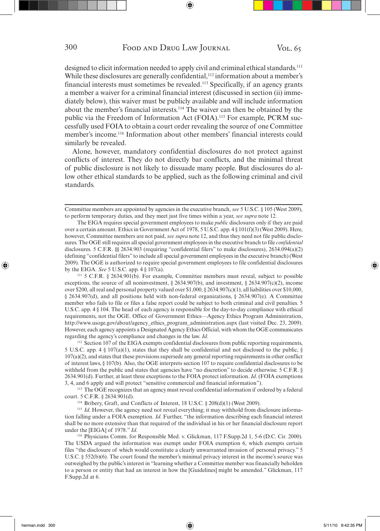designed to elicit information needed to apply civil and criminal ethical standards.<sup>111</sup> While these disclosures are generally confidential,<sup>112</sup> information about a member's financial interests must sometimes be revealed.113 Specifically, if an agency grants a member a waiver for a criminal financial interest (discussed in section (ii) immediately below), this waiver must be publicly available and will include information about the member's financial interests.114 The waiver can then be obtained by the public via the Freedom of Information Act (FOIA).<sup>115</sup> For example, PCRM successfully used FOIA to obtain a court order revealing the source of one Committee member's income.116 Information about other members' financial interests could similarly be revealed.

Alone, however, mandatory confidential disclosures do not protect against conflicts of interest. They do not directly bar conflicts, and the minimal threat of public disclosure is not likely to dissuade many people. But disclosures do allow other ethical standards to be applied, such as the following criminal and civil standards.

111 5 C.F.R. § 2634.901(b). For example, Committee members must reveal, subject to possible exceptions, the source of all noninvestment, § 2634.907(b), and investment, § 2634.907(c)(2), income over \$200, all real and personal property valued over \$1,000, § 2634.907(c)(1), all liabilities over \$10,000, § 2634.907(d), and all positions held with non-federal organizations, § 2634.907(e). A Committee member who fails to file or files a false report could be subject to both criminal and civil penalties. 5 U.S.C. app. 4 § 104. The head of each agency is responsible for the day-to-day compliance with ethical requirements, not the OGE. Office of Government Ethics—Agency Ethics Program Administration, http://www.usoge.gov/about/agency\_ethics\_program\_administration.aspx (last visited Dec. 23, 2009). However, each agency appoints a Designated Agency Ethics Official, with whom the OGE communicates regarding the agency's compliance and changes in the law. *Id*. <sup>112</sup> Section 107 of the EIGA exempts confidential disclosures from public reporting requirements,

5 U.S.C. app. 4 § 107(a)(1), states that they shall be confidential and not disclosed to the public, § 107(a)(2), and states that these provisions supersede any general reporting requirements in other conflict of interest laws, § 107(b). Also, the OGE interprets section 107 to require confidential disclosures to be withheld from the public and states that agencies have "no discretion" to decide otherwise. 5 C.F.R. § 2634.901(d). Further, at least three exceptions to the FOIA protect information. *Id*. (FOIA exemptions 3, 4, and 6 apply and will protect "sensitive commercial and financial information").

113 The OGE recognizes that an agency must reveal confidential information if ordered by a federal court. 5 C.F.R. § 2634.901(d). 114 Bribery, Graft, and Conflicts of Interest, 18 U.S.C. § 208(d)(1) (West 2009).

<sup>115</sup> *Id*. However, the agency need not reveal everything; it may withhold from disclosure information falling under a FOIA exemption. *Id*. Further, "the information describing each financial interest shall be no more extensive than that required of the individual in his or her financial disclosure report under the [EIGA] of 1978." *Id.* 116 Physicians Comm. for Responsible Med. v. Glickman, 117 F.Supp.2d 1, 5-6 (D.C. Cir. 2000).

The USDA argued the information was exempt under FOIA exemption 6, which exempts certain files "the disclosure of which would constitute a clearly unwarranted invasion of personal privacy." 5 U.S.C. § 552(b)(6). The court found the member's minimal privacy interest in the income's source was outweighed by the public's interest in "learning whether a Committee member was financially beholden to a person or entity that had an interest in how the [Guidelines] might be amended." Glickman, 117 F.Supp.2d at 6.

Committee members are appointed by agencies in the executive branch, *see* 5 U.S.C. § 105 (West 2009), to perform temporary duties, and they meet just five times within a year, *see supra* note 12.

The EIGA requires special government employees to make *public* disclosures only if they are paid over a certain amount. Ethics in Government Act of 1978, 5 U.S.C. app. 4 § 101(f)(3) (West 2009). Here, however, Committee members are not paid, *see supra* note 12, and thus they need not file public disclosures. The OGE still requires all special government employees in the executive branch to file *confidential* disclosures. 5 C.F.R. §§ 2634.903 (requiring "confidential filers" to make disclosures), 2634.094(a)(2) (defining "confidential filers" to include all special government employees in the executive branch) (West 2009). The OGE is authorized to require special government employees to file confidential disclosures by the EIGA. *See* 5 U.S.C. app. 4 § 107(a).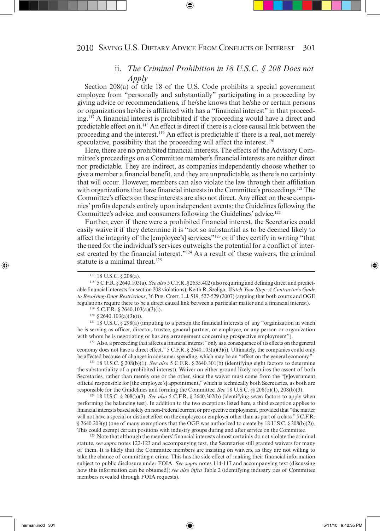# ii. *The Criminal Prohibition in 18 U.S.C. § 208 Does not Apply*

Section 208(a) of title 18 of the U.S. Code prohibits a special government employee from "personally and substantially" participating in a proceeding by giving advice or recommendations, if he/she knows that he/she or certain persons or organizations he/she is affiliated with has a "financial interest" in that proceeding.117 A financial interest is prohibited if the proceeding would have a direct and predictable effect on it.118 An effect is direct if there is a close causal link between the proceeding and the interest.<sup>119</sup> An effect is predictable if there is a real, not merely speculative, possibility that the proceeding will affect the interest.<sup>120</sup>

Here, there are no prohibited financial interests. The effects of the Advisory Committee's proceedings on a Committee member's financial interests are neither direct nor predictable. They are indirect, as companies independently choose whether to give a member a financial benefit, and they are unpredictable, as there is no certainty that will occur. However, members can also violate the law through their affiliation with organizations that have financial interests in the Committee's proceedings.<sup>121</sup> The Committee's effects on these interests are also not direct. Any effect on these companies' profits depends entirely upon independent events: the Guidelines following the Committee's advice, and consumers following the Guidelines' advice.<sup>122</sup>

Further, even if there were a prohibited financial interest, the Secretaries could easily waive it if they determine it is "not so substantial as to be deemed likely to affect the integrity of the [employee's] services,"123 or if they certify in writing "that the need for the individual's services outweighs the potential for a conflict of interest created by the financial interest."124 As a result of these waivers, the criminal statute is a minimal threat.<sup>125</sup>

 $121$  18 U.S.C. § 298(a) (imputing to a person the financial interests of any "organization in which he is serving as officer, director, trustee, general partner, or employee, or any person or organization with whom he is negotiating or has any arrangement concerning prospective employment").<br><sup>122</sup> Also, a proceeding that affects a financial interest "only as a consequence of its effects on the general

economy does not have a direct effect." 5 C.F.R. § 2640.103(a)(3)(i). Ultimately, the companies could only be affected because of changes in consumer spending, which may be an "effect on the general economy."

123 18 U.S.C. § 208(b)(1). *See also* 5 C.F.R. § 2640.301(b) (identifying eight factors to determine the substantiality of a prohibited interest). Waiver on either ground likely requires the assent of both Secretaries, rather than merely one or the other, since the waiver must come from the "[g]overnment official responsible for [the employee's] appointment," which is technically both Secretaries, as both are responsible for the Guidelines and forming the Committee. *See* 18 U.S.C. §§ 208(b)(1), 208(b)(3). 124 18 U.S.C. § 208(b)(3). *See also* 5 C.F.R. § 2640.302(b) (identifying seven factors to apply when

performing the balancing test). In addition to the two exceptions listed here, a third exception applies to financial interests based solely on non-Federal current or prospective employment, provided that "the matter will not have a special or distinct effect on the employee or employer other than as part of a class." 5 C.F.R.  $\S 2640.203(g)$  (one of many exemptions that the OGE was authorized to create by 18 U.S.C.  $\S 208(b)(2)$ ). This could exempt certain positions with industry groups during and after service on the Committee.

<sup>125</sup> Note that although the members' financial interests almost certainly do not violate the criminal statute, *see supra* notes 122-123 and accompanying text, the Secretaries still granted waivers for many of them. It is likely that the Committee members are insisting on waivers, as they are not willing to take the chance of committing a crime. This has the side effect of making their financial information subject to public disclosure under FOIA. *See supra* notes 114-117 and accompanying text (discussing how this information can be obtained); *see also infra* Table 2 (identifying industry ties of Committee members revealed through FOIA requests).

<sup>117 18</sup> U.S.C. § 208(a). 118 5 C.F.R. § 2640.103(a). *See also* 5 C.F.R. § 2635.402 (also requiring and defining direct and predictable financial interests for section 208 violations); Keith R. Szeliga, *Watch Your Step: A Contractor's Guide to Revolving-Door Restrictions*, 36 PUB. CONT. L.J. 519, 527-529 (2007) (arguing that both courts and OGE regulations require there to be a direct causal link between a particular matter and a financial interest).

<sup>&</sup>lt;sup>119</sup> 5 C.F.R. § 2640.103(a)(3)(i).<br><sup>120</sup> § 2640.103(a)(3)(ii).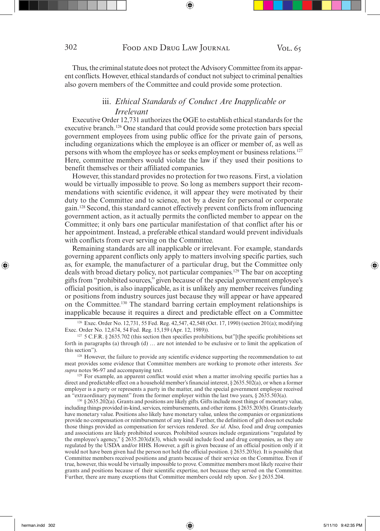Thus, the criminal statute does not protect the Advisory Committee from its apparent conflicts. However, ethical standards of conduct not subject to criminal penalties also govern members of the Committee and could provide some protection.

# iii. *Ethical Standards of Conduct Are Inapplicable or Irrelevant*

Executive Order 12,731 authorizes the OGE to establish ethical standards for the executive branch.126 One standard that could provide some protection bars special government employees from using public office for the private gain of persons, including organizations which the employee is an officer or member of, as well as persons with whom the employee has or seeks employment or business relations.<sup>127</sup> Here, committee members would violate the law if they used their positions to benefit themselves or their affiliated companies.

However, this standard provides no protection for two reasons. First, a violation would be virtually impossible to prove. So long as members support their recommendations with scientific evidence, it will appear they were motivated by their duty to the Committee and to science, not by a desire for personal or corporate gain.128 Second, this standard cannot effectively prevent conflicts from influencing government action, as it actually permits the conflicted member to appear on the Committee; it only bars one particular manifestation of that conflict after his or her appointment. Instead, a preferable ethical standard would prevent individuals with conflicts from ever serving on the Committee.

Remaining standards are all inapplicable or irrelevant. For example, standards governing apparent conflicts only apply to matters involving specific parties, such as, for example, the manufacturer of a particular drug, but the Committee only deals with broad dietary policy, not particular companies.129 The bar on accepting gifts from "prohibited sources," given because of the special government employee's official position, is also inapplicable, as it is unlikely any member receives funding or positions from industry sources just because they will appear or have appeared on the Committee.130 The standard barring certain employment relationships is inapplicable because it requires a direct and predictable effect on a Committee

<sup>128</sup> However, the failure to provide any scientific evidence supporting the recommendation to eat meat provides some evidence that Committee members are working to promote other interests. *See supra* notes 96-97 and accompanying text.

<sup>129</sup> For example, an apparent conflict would exist when a matter involving specific parties has a direct and predictable effect on a household member's financial interest, § 2635.502(a), or when a former employer is a party or represents a party in the matter, and the special government employee received an "extraordinary payment" from the former employer within the last two years, § 2635.503(a).

130 § 2635.202(a). Grants and positions are likely gifts. Gifts include most things of monetary value, including things provided in-kind, services, reimbursements, and other items. § 2635.203(b). Grants clearly have monetary value. Positions also likely have monetary value, unless the companies or organizations provide no compensation or reimbursement of any kind. Further, the definition of gift does not exclude those things provided as compensation for services rendered. *See id*. Also, food and drug companies and associations are likely prohibited sources. Prohibited sources include organizations "regulated by the employee's agency,"  $\frac{2}{5}$  2635.203(d)(3), which would include food and drug companies, as they are regulated by the USDA and/or HHS. However, a gift is given because of an official position only if it would not have been given had the person not held the official position. § 2635.203(e). It is possible that Committee members received positions and grants because of their service on the Committee. Even if true, however, this would be virtually impossible to prove. Committee members most likely receive their grants and positions because of their scientific expertise, not because they served on the Committee. Further, there are many exceptions that Committee members could rely upon. *See* § 2635.204.

<sup>126</sup> Exec. Order No. 12,731, 55 Fed. Reg. 42,547, 42,548 (Oct. 17, 1990) (section 201(a); modifying Exec. Order No. 12,674, 54 Fed. Reg. 15,159 (Apr. 12, 1989)).

 $127$  5 C.F.R. § 2635.702 (this section then specifies prohibitions, but"[t]he specific prohibitions set forth in paragraphs (a) through (d) … are not intended to be exclusive or to limit the application of this section").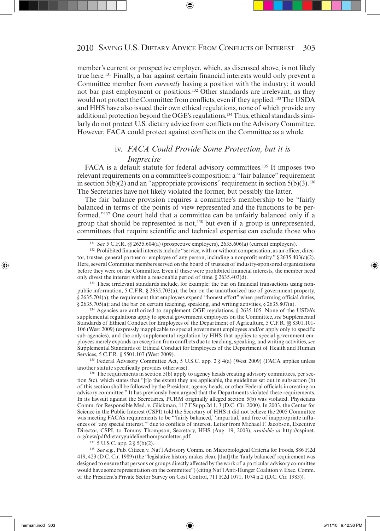member's current or prospective employer, which, as discussed above, is not likely true here.131 Finally, a bar against certain financial interests would only prevent a Committee member from *currently* having a position with the industry; it would not bar past employment or positions.132 Other standards are irrelevant, as they would not protect the Committee from conflicts, even if they applied.<sup>133</sup> The USDA and HHS have also issued their own ethical regulations, none of which provide any additional protection beyond the OGE's regulations.134 Thus, ethical standards similarly do not protect U.S. dietary advice from conflicts on the Advisory Committee. However, FACA could protect against conflicts on the Committee as a whole.

# iv. *FACA Could Provide Some Protection, but it is Imprecise*

FACA is a default statute for federal advisory committees.<sup>135</sup> It imposes two relevant requirements on a committee's composition: a "fair balance" requirement in section  $5(b)(2)$  and an "appropriate provisions" requirement in section  $5(b)(3)$ .<sup>136</sup> The Secretaries have not likely violated the former, but possibly the latter.

The fair balance provision requires a committee's membership to be "fairly balanced in terms of the points of view represented and the functions to be performed."137 One court held that a committee can be unfairly balanced only if a group that should be represented is not,<sup>138</sup> but even if a group is unrepresented, committees that require scientific and technical expertise can exclude those who

<sup>133</sup> These irrelevant standards include, for example: the bar on financial transactions using nonpublic information, 5 C.F.R. § 2635.703(a); the bar on the unauthorized use of government property, § 2635.704(a); the requirement that employees expend "honest effort" when performing official duties, § 2635.705(a); and the bar on certain teaching, speaking, and writing activities, § 2635.807(a).

134 Agencies are authorized to supplement OGE regulations. § 2635.105. None of the USDA's supplemental regulations apply to special government employees on the Committee, *see* Supplemental Standards of Ethical Conduct for Employees of the Department of Agriculture, 5 C.F.R. §§ 8301.101- 106 (West 2009) (expressly inapplicable to special government employees and/or apply only to specific sub-agencies), and the only supplemental regulation by HHS that applies to special government employees merely expands an exception from conflicts due to teaching, speaking, and writing activities, *see* Supplemental Standards of Ethical Conduct for Employees of the Department of Health and Human Services, 5 C.F.R. § 5501.107 (West 2009).

<sup>135</sup> Federal Advisory Committee Act, 5 U.S.C. app. 2 § 4(a) (West 2009) (FACA applies unless another statute specifically provides otherwise).

<sup>136</sup> The requirements in section 5(b) apply to agency heads creating advisory committees, per section 5(c), which states that "[t]o the extent they are applicable, the guidelines set out in subsection (b) of this section shall be followed by the President, agency heads, or other Federal officials in creating an advisory committee." It has previously been argued that the Departments violated these requirements. In its lawsuit against the Secretaries, PCRM originally alleged section 5(b) was violated. Physicians Comm. for Responsible Med. v. Glickman, 117 F.Supp.2d 1, 3 (D.C. Cir. 2000). In 2003, the Center for Science in the Public Interest (CSPI) told the Secretary of HHS it did not believe the 2005 Committee was meeting FACA's requirements to be "'fairly balanced,' 'impartial,' and free of inappropriate influences of 'any special interest,'" due to conflicts of interest. Letter from Michael F. Jacobson, Executive Director, CSPI, to Tommy Thompson, Secretary, HHS (Aug. 19, 2003), *available at* http://cspinet. org/new/pdf/dietaryguidelinethompsonletter.pdf.

137 5 U.S.C. app. 2 § 5(b)(2).

<sup>138</sup>*See e.g.*, Pub. Citizen v. Nat'l Advisory Comm. on Microbiological Criteria for Foods, 886 F.2d 419, 423 (D.C. Cir. 1989) (the "legislative history makes clear, [that] the 'fairly balanced' requirement was designed to ensure that persons or groups directly affected by the work of a particular advisory committee would have some representation on the committee") (citing Nat'l Anti-Hunger Coalition v. Exec. Comm. of the President's Private Sector Survey on Cost Control, 711 F.2d 1071, 1074 n.2 (D.C. Cir. 1983)).

<sup>131</sup>*See* 5 C.F.R. §§ 2635.604(a) (prospective employers), 2635.606(a) (current employers).

<sup>&</sup>lt;sup>132</sup> Prohibited financial interests include "service, with or without compensation, as an officer, director, trustee, general partner or employee of any person, including a nonprofit entity."  $\S 2635.403(c)(2)$ . Here, several Committee members served on the board of trustees of industry-sponsored organizations before they were on the Committee. Even if these were prohibited financial interests, the member need only divest the interest within a reasonable period of time. § 2635.403(d).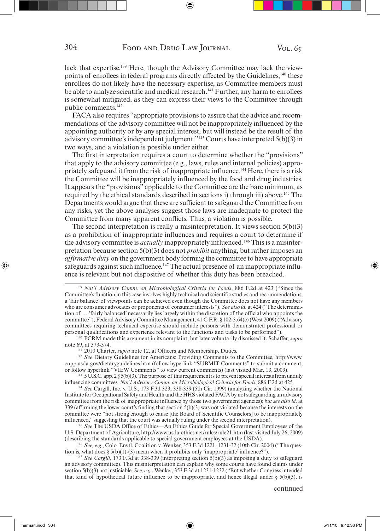lack that expertise.139 Here, though the Advisory Committee may lack the viewpoints of enrollees in federal programs directly affected by the Guidelines,<sup>140</sup> these enrollees do not likely have the necessary expertise, as Committee members must be able to analyze scientific and medical research.<sup>141</sup> Further, any harm to enrollees is somewhat mitigated, as they can express their views to the Committee through public comments.<sup>142</sup>

FACA also requires "appropriate provisions to assure that the advice and recommendations of the advisory committee will not be inappropriately influenced by the appointing authority or by any special interest, but will instead be the result of the advisory committee's independent judgment."143 Courts have interpreted 5(b)(3) in two ways, and a violation is possible under either.

The first interpretation requires a court to determine whether the "provisions" that apply to the advisory committee (e.g., laws, rules and internal policies) appropriately safeguard it from the risk of inappropriate influence.144 Here, there is a risk the Committee will be inappropriately influenced by the food and drug industries. It appears the "provisions" applicable to the Committee are the bare minimum, as required by the ethical standards described in sections i) through iii) above.<sup>145</sup> The Departments would argue that these are sufficient to safeguard the Committee from any risks, yet the above analyses suggest those laws are inadequate to protect the Committee from many apparent conflicts. Thus, a violation is possible.

The second interpretation is really a misinterpretation. It views section 5(b)(3) as a prohibition of inappropriate influences and requires a court to determine if the advisory committee is *actually* inappropriately influenced.146 This is a misinterpretation because section 5(b)(3) does not *prohibit* anything, but rather imposes an *affirmative duty* on the government body forming the committee to have appropriate safeguards against such influence.<sup>147</sup> The actual presence of an inappropriate influence is relevant but not dispositive of whether this duty has been breached.

cnpp.usda.gov/dietaryguidelines.htm (follow hyperlink "SUBMIT Comments" to submit a comment,

 $143 \cdot 5 \text{ U.S.C.}$  app.  $2 \frac{8}{3}$  5(b)(3). The purpose of this requirement is to prevent special interests from unduly influencing committees. *Nat'l Advisory Comm. on Microbiological Criteria for Foods*, 886 F.2d at 425. 144 *See* Cargill, Inc. v. U.S., 173 F.3d 323, 338-339 (5th Cir. 1999) (analyzing whether the National

Institute for Occupational Safety and Health and the HHS violated FACA by not safeguarding an advisory committee from the risk of inappropriate influence by those two government agencies); *but see also id*. at 339 (affirming the lower court's finding that section 5(b)(3) was not violated because the interests on the committee were "not strong enough to cause [the Board of Scientific Counselors] to be inappropriately influenced," suggesting that the court was actually ruling under the second interpretation).

<sup>145</sup>*See* The USDA Office of Ethics—An Ethics Guide for Special Government Employees of the U.S. Department of Agriculture, http://www.usda-ethics.net/rules/rule21.htm (last visited July 26, 2009)

(describing the standards applicable to special government employees at the USDA).<br><sup>146</sup> *See, e.g.*, Colo. Envtl. Coalition v. Wenker, 353 F.3d 1221, 1231-32 (10th Cir. 2004) ("The question is, what does § 5(b)(1)-(3) mea

<sup>147</sup> See Cargill, 173 F.3d at 338-339 (interpreting section  $5(\hat{b})(3)$  as imposing a duty to safeguard an advisory committee). This misinterpretation can explain why some courts have found claims under section 5(b)(3) not justiciable. *See, e.g.*, Wenker, 353 F.3d at 1231-1232 ("But whether Congress intended that kind of hypothetical future influence to be inappropriate, and hence illegal under  $\S$  5(b)(3), is

<sup>139</sup>*Nat'l Advisory Comm. on Microbiological Criteria for Foods*, 886 F.2d at 423 ("Since the Committee's function in this case involves highly technical and scientific studies and recommendations, a 'fair balance' of viewpoints can be achieved even though the Committee does not have any members who are consumer advocates or proponents of consumer interests"). *See also id*. at 424 ("The determination of … 'fairly balanced' necessarily lies largely within the discretion of the official who appoints the committee"); Federal Advisory Committee Management, 41 C.F.R. § 102-3.64(c) (West 2009) ("Advisory committees requiring technical expertise should include persons with demonstrated professional or personal qualifications and experience relevant to the functions and tasks to be performed").

<sup>140</sup> PCRM made this argument in its complaint, but later voluntarily dismissed it. Schaffer, *supra* note 69, at 373-374.<br><sup>141</sup> 2010 Charter, *supra* note 12, at Officers and Membership, Duties.<br><sup>142</sup> *See* Dietary Guidelines for Americans: Providing Comments to the Committee, http://www.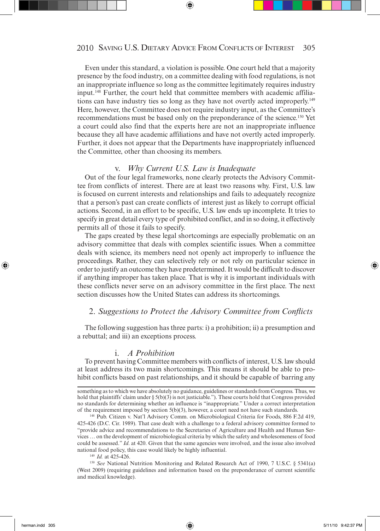Even under this standard, a violation is possible. One court held that a majority presence by the food industry, on a committee dealing with food regulations, is not an inappropriate influence so long as the committee legitimately requires industry input.148 Further, the court held that committee members with academic affiliations can have industry ties so long as they have not overtly acted improperly.149 Here, however, the Committee does not require industry input, as the Committee's recommendations must be based only on the preponderance of the science.150 Yet a court could also find that the experts here are not an inappropriate influence because they all have academic affiliations and have not overtly acted improperly. Further, it does not appear that the Departments have inappropriately influenced the Committee, other than choosing its members.

#### v. *Why Current U.S. Law is Inadequate*

Out of the four legal frameworks, none clearly protects the Advisory Committee from conflicts of interest. There are at least two reasons why. First, U.S. law is focused on current interests and relationships and fails to adequately recognize that a person's past can create conflicts of interest just as likely to corrupt official actions. Second, in an effort to be specific, U.S. law ends up incomplete. It tries to specify in great detail every type of prohibited conflict, and in so doing, it effectively permits all of those it fails to specify.

The gaps created by these legal shortcomings are especially problematic on an advisory committee that deals with complex scientific issues. When a committee deals with science, its members need not openly act improperly to influence the proceedings. Rather, they can selectively rely or not rely on particular science in order to justify an outcome they have predetermined. It would be difficult to discover if anything improper has taken place. That is why it is important individuals with these conflicts never serve on an advisory committee in the first place. The next section discusses how the United States can address its shortcomings.

#### 2. Suggestions to Protect the Advisory Committee from Conflicts

The following suggestion has three parts: i) a prohibition; ii) a presumption and a rebuttal; and iii) an exceptions process.

#### i. *A Prohibition*

To prevent having Committee members with conflicts of interest, U.S. law should at least address its two main shortcomings. This means it should be able to prohibit conflicts based on past relationships, and it should be capable of barring any

something as to which we have absolutely no guidance, guidelines or standards from Congress. Thus, we hold that plaintiffs' claim under  $\S 5(b)(3)$  is not justiciable."). These courts hold that Congress provided no standards for determining whether an influence is "inappropriate." Under a correct interpretation of the requirement imposed by section 5(b)(3), however, a court need not have such standards. 148 Pub. Citizen v. Nat'l Advisory Comm. on Microbiological Criteria for Foods, 886 F.2d 419,

<sup>425-426 (</sup>D.C. Cir. 1989). That case dealt with a challenge to a federal advisory committee formed to "provide advice and recommendations to the Secretaries of Agriculture and Health and Human Services … on the development of microbiological criteria by which the safety and wholesomeness of food could be assessed." *Id*. at 420. Given that the same agencies were involved, and the issue also involved national food policy, this case would likely be highly influential.<br> $^{149}$  *Id.* at 425-426.

<sup>&</sup>lt;sup>150</sup> *See* National Nutrition Monitoring and Related Research Act of 1990, 7 U.S.C. § 5341(a) (West 2009) (requiring guidelines and information based on the preponderance of current scientific and medical knowledge).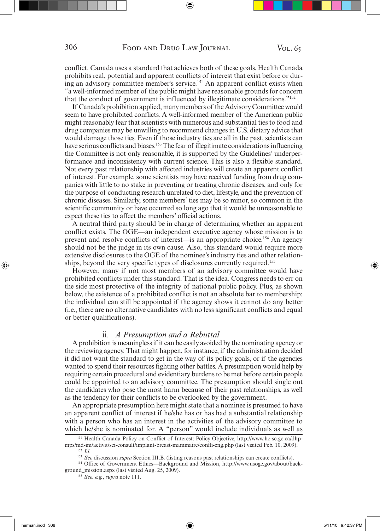conflict. Canada uses a standard that achieves both of these goals. Health Canada prohibits real, potential and apparent conflicts of interest that exist before or during an advisory committee member's service.<sup>151</sup> An apparent conflict exists when "a well-informed member of the public might have reasonable grounds for concern that the conduct of government is influenced by illegitimate considerations."152

If Canada's prohibition applied, many members of the Advisory Committee would seem to have prohibited conflicts. A well-informed member of the American public might reasonably fear that scientists with numerous and substantial ties to food and drug companies may be unwilling to recommend changes in U.S. dietary advice that would damage those ties. Even if those industry ties are all in the past, scientists can have serious conflicts and biases.<sup>153</sup> The fear of illegitimate considerations influencing the Committee is not only reasonable, it is supported by the Guidelines' underperformance and inconsistency with current science. This is also a flexible standard. Not every past relationship with affected industries will create an apparent conflict of interest. For example, some scientists may have received funding from drug companies with little to no stake in preventing or treating chronic diseases, and only for the purpose of conducting research unrelated to diet, lifestyle, and the prevention of chronic diseases. Similarly, some members' ties may be so minor, so common in the scientific community or have occurred so long ago that it would be unreasonable to expect these ties to affect the members' official actions.

A neutral third party should be in charge of determining whether an apparent conflict exists. The OGE—an independent executive agency whose mission is to prevent and resolve conflicts of interest—is an appropriate choice.154 An agency should not be the judge in its own cause. Also, this standard would require more extensive disclosures to the OGE of the nominee's industry ties and other relationships, beyond the very specific types of disclosures currently required.<sup>155</sup>

However, many if not most members of an advisory committee would have prohibited conflicts under this standard. That is the idea. Congress needs to err on the side most protective of the integrity of national public policy. Plus, as shown below, the existence of a prohibited conflict is not an absolute bar to membership: the individual can still be appointed if the agency shows it cannot do any better (i.e., there are no alternative candidates with no less significant conflicts and equal or better qualifications).

#### ii. *A Presumption and a Rebuttal*

A prohibition is meaningless if it can be easily avoided by the nominating agency or the reviewing agency. That might happen, for instance, if the administration decided it did not want the standard to get in the way of its policy goals, or if the agencies wanted to spend their resources fighting other battles. A presumption would help by requiring certain procedural and evidentiary burdens to be met before certain people could be appointed to an advisory committee. The presumption should single out the candidates who pose the most harm because of their past relationships, as well as the tendency for their conflicts to be overlooked by the government.

An appropriate presumption here might state that a nominee is presumed to have an apparent conflict of interest if he/she has or has had a substantial relationship with a person who has an interest in the activities of the advisory committee to which he/she is nominated for. A "person" would include individuals as well as

<sup>151</sup> Health Canada Policy on Conflict of Interest: Policy Objective, http://www.hc-sc.gc.ca/dhpmps/md-im/activit/sci-consult/implant-breast-mammaire/confli-eng.php (last visited Feb. 10, 2009).

<sup>&</sup>lt;sup>152</sup> *Id.*<br><sup>153</sup> *See* discussion *supra* Section III.B. (listing reasons past relationships can create conflicts).

<sup>&</sup>lt;sup>154</sup> Office of Government Ethics—Background and Mission, http://www.usoge.gov/about/background\_mission.aspx (last visited Aug. 25, 2009). 155 *See, e.g.*, *supra* note 111.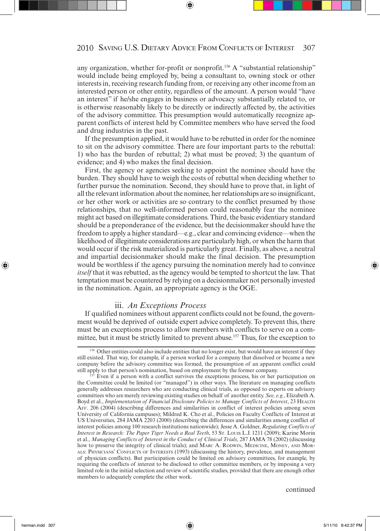any organization, whether for-profit or nonprofit.<sup>156</sup> A "substantial relationship" would include being employed by, being a consultant to, owning stock or other interests in, receiving research funding from, or receiving any other income from an interested person or other entity, regardless of the amount. A person would "have an interest" if he/she engages in business or advocacy substantially related to, or is otherwise reasonably likely to be directly or indirectly affected by, the activities of the advisory committee. This presumption would automatically recognize apparent conflicts of interest held by Committee members who have served the food and drug industries in the past.

If the presumption applied, it would have to be rebutted in order for the nominee to sit on the advisory committee. There are four important parts to the rebuttal: 1) who has the burden of rebuttal; 2) what must be proved; 3) the quantum of evidence; and 4) who makes the final decision.

First, the agency or agencies seeking to appoint the nominee should have the burden. They should have to weigh the costs of rebuttal when deciding whether to further pursue the nomination. Second, they should have to prove that, in light of all the relevant information about the nominee, her relationships are so insignificant, or her other work or activities are so contrary to the conflict presumed by those relationships, that no well-informed person could reasonably fear the nominee might act based on illegitimate considerations. Third, the basic evidentiary standard should be a preponderance of the evidence, but the decisionmaker should have the freedom to apply a higher standard—e.g., clear and convincing evidence—when the likelihood of illegitimate considerations are particularly high, or when the harm that would occur if the risk materialized is particularly great. Finally, as above, a neutral and impartial decisionmaker should make the final decision. The presumption would be worthless if the agency pursuing the nomination merely had to convince *itself* that it was rebutted, as the agency would be tempted to shortcut the law. That temptation must be countered by relying on a decisionmaker not personally invested in the nomination. Again, an appropriate agency is the OGE.

#### iii. *An Exceptions Process*

If qualified nominees without apparent conflicts could not be found, the government would be deprived of outside expert advice completely. To prevent this, there must be an exceptions process to allow members with conflicts to serve on a committee, but it must be strictly limited to prevent abuse.157 Thus, for the exception to

<sup>&</sup>lt;sup>156</sup> Other entities could also include entities that no longer exist, but would have an interest if they still existed. That way, for example, if a person worked for a company that dissolved or became a new company before the advisory committee was formed, the presumption of an apparent conflict could still apply to that person's nomination, based on employment by the former company.

Even if a person with a conflict survives the exceptions process, his or her participation on the Committee could be limited (or "managed") in other ways. The literature on managing conflicts generally addresses researchers who are conducting clinical trials, as opposed to experts on advisory committees who are merely reviewing existing studies on behalf of another entity. *See, e.g.*, Elizabeth A. Boyd et al., *Implementation of Financial Disclosure Policies to Manage Conflicts of Interest*, 23 HEALTH AFF. 206 (2004) (describing differences and similarities in conflict of interest policies among seven University of California campuses); Mildred K. Cho et al., Policies on Faculty Conflicts of Interest at US Universities, 284 JAMA 2203 (2000) (describing the differences and similarities among conflict of interest policies among 100 research institutions nationwide); Jesse A. Goldner, *Regulating Conflicts of Interest in Research: The Paper Tiger Needs a Real Teeth*, 53 ST. LOUIS L.J. 1211 (2009); Karine Morin et al., *Managing Conflicts of Interest in the Conduct of Clinical Trials*, 287 JAMA 78 (2002) (discussing how to preserve the integrity of clinical trials); and MARC A. RODWIN, MEDICINE, MONEY, AND MOR-ALS: PHYSICIANS' CONFLICTS OF INTERESTS (1993) (discussing the history, prevalence, and management of physician conflicts). But participation could be limited on advisory committees, for example, by requiring the conflicts of interest to be disclosed to other committee members, or by imposing a very limited role in the initial selection and review of scientific studies, provided that there are enough other members to adequately complete the other work.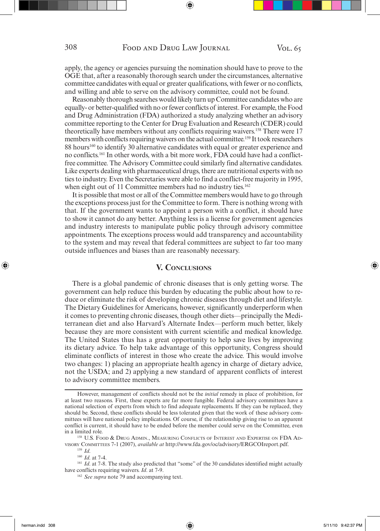apply, the agency or agencies pursuing the nomination should have to prove to the OGE that, after a reasonably thorough search under the circumstances, alternative committee candidates with equal or greater qualifications, with fewer or no conflicts, and willing and able to serve on the advisory committee, could not be found.

Reasonably thorough searches would likely turn up Committee candidates who are equally- or better-qualified with no or fewer conflicts of interest. For example, the Food and Drug Administration (FDA) authorized a study analyzing whether an advisory committee reporting to the Center for Drug Evaluation and Research (CDER) could theoretically have members without any conflicts requiring waivers.158 There were 17 members with conflicts requiring waivers on the actual committee.<sup>159</sup> It took researchers 88 hours<sup>160</sup> to identify 30 alternative candidates with equal or greater experience and no conflicts.161 In other words, with a bit more work, FDA could have had a conflictfree committee. The Advisory Committee could similarly find alternative candidates. Like experts dealing with pharmaceutical drugs, there are nutritional experts with no ties to industry. Even the Secretaries were able to find a conflict-free majority in 1995, when eight out of 11 Committee members had no industry ties.<sup>162</sup>

It is possible that most or all of the Committee members would have to go through the exceptions process just for the Committee to form. There is nothing wrong with that. If the government wants to appoint a person with a conflict, it should have to show it cannot do any better. Anything less is a license for government agencies and industry interests to manipulate public policy through advisory committee appointments. The exceptions process would add transparency and accountability to the system and may reveal that federal committees are subject to far too many outside influences and biases than are reasonably necessary.

#### **V. CONCLUSIONS**

There is a global pandemic of chronic diseases that is only getting worse. The government can help reduce this burden by educating the public about how to reduce or eliminate the risk of developing chronic diseases through diet and lifestyle. The Dietary Guidelines for Americans, however, significantly underperform when it comes to preventing chronic diseases, though other diets—principally the Mediterranean diet and also Harvard's Alternate Index—perform much better, likely because they are more consistent with current scientific and medical knowledge. The United States thus has a great opportunity to help save lives by improving its dietary advice. To help take advantage of this opportunity, Congress should eliminate conflicts of interest in those who create the advice. This would involve two changes: 1) placing an appropriate health agency in charge of dietary advice, not the USDA; and 2) applying a new standard of apparent conflicts of interest to advisory committee members.

However, management of conflicts should not be the *initial* remedy in place of prohibition, for at least two reasons. First, these experts are far more fungible. Federal advisory committees have a national selection of experts from which to find adequate replacements. If they can be replaced, they should be. Second, these conflicts should be less tolerated given that the work of these advisory committees will have national policy implications. Of course, if the relationship giving rise to an apparent conflict is current, it should have to be ended before the member could serve on the Committee, even in a limited role.<br><sup>158</sup> U.S. Food & Drug Admin., Measuring Conflicts of Interest and Expertise on FDA Ad-

VISORY COMMITTEES 7-1 (2007), *available at* http://www.fda.gov/oc/advisory/ERGCOIreport.pdf. 159 *Id*. 160 *Id*. at 7-4.

<sup>&</sup>lt;sup>161</sup> *Id.* at 7-8. The study also predicted that "some" of the 30 candidates identified might actually have conflicts requiring waivers. *Id.* at 7-9.<br><sup>162</sup> *See supra* note 79 and accompanying text.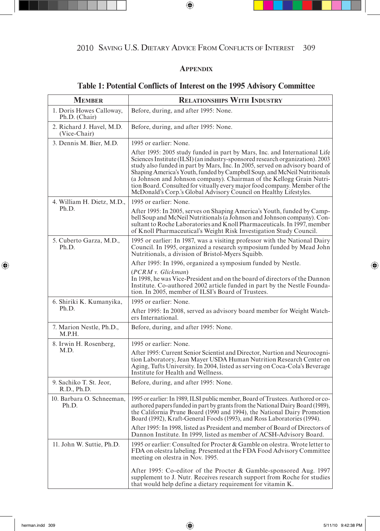# **APPENDIX**

# **Table 1: Potential Conflicts of Interest on the 1995 Advisory Committee**

| <b>MEMBER</b>                             | <b>RELATIONSHIPS WITH INDUSTRY</b>                                                                                                                                                                                                                                                                                                                                                                                                                                                                                                                   |
|-------------------------------------------|------------------------------------------------------------------------------------------------------------------------------------------------------------------------------------------------------------------------------------------------------------------------------------------------------------------------------------------------------------------------------------------------------------------------------------------------------------------------------------------------------------------------------------------------------|
| 1. Doris Howes Calloway,<br>Ph.D. (Chair) | Before, during, and after 1995: None.                                                                                                                                                                                                                                                                                                                                                                                                                                                                                                                |
| 2. Richard J. Havel, M.D.<br>(Vice-Chair) | Before, during, and after 1995: None.                                                                                                                                                                                                                                                                                                                                                                                                                                                                                                                |
| 3. Dennis M. Bier, M.D.                   | 1995 or earlier: None.                                                                                                                                                                                                                                                                                                                                                                                                                                                                                                                               |
|                                           | After 1995: 2005 study funded in part by Mars, Inc. and International Life<br>Sciences Institute (ILSI) (an industry-sponsored research organization). 2003<br>study also funded in part by Mars, Inc. In 2005, served on advisory board of<br>Shaping America's Youth, funded by Campbell Soup, and McNeil Nutritionals<br>(a Johnson and Johnson company). Chairman of the Kellogg Grain Nutri-<br>tion Board. Consulted for vitually every major food company. Member of the<br>McDonald's Corp.'s Global Advisory Council on Healthy Lifestyles. |
| 4. William H. Dietz, M.D.,                | 1995 or earlier: None.                                                                                                                                                                                                                                                                                                                                                                                                                                                                                                                               |
| Ph.D.                                     | After 1995: In 2005, serves on Shaping America's Youth, funded by Camp-<br>bell Soup and McNeil Nutritionals (a Johnson and Johnson company). Con-<br>sultant to Roche Laboratories and Knoll Pharmaceuticals. In 1997, member<br>of Knoll Pharmaceutical's Weight Risk Investigation Study Council.                                                                                                                                                                                                                                                 |
| 5. Cuberto Garza, M.D.,<br>Ph.D.          | 1995 or earlier: In 1987, was a visiting professor with the National Dairy<br>Council. In 1995, organized a research symposium funded by Mead John<br>Nutritionals, a division of Bristol-Myers Squibb.                                                                                                                                                                                                                                                                                                                                              |
|                                           | After 1995: In 1996, organized a symposium funded by Nestle.                                                                                                                                                                                                                                                                                                                                                                                                                                                                                         |
|                                           | (PCRM v. Glickman)<br>In 1998, he was Vice-President and on the board of directors of the Dannon<br>Institute. Co-authored 2002 article funded in part by the Nestle Founda-<br>tion. In 2005, member of ILSI's Board of Trustees.                                                                                                                                                                                                                                                                                                                   |
| 6. Shiriki K. Kumanyika,                  | 1995 or earlier: None.                                                                                                                                                                                                                                                                                                                                                                                                                                                                                                                               |
| Ph.D.                                     | After 1995: In 2008, served as advisory board member for Weight Watch-<br>ers International.                                                                                                                                                                                                                                                                                                                                                                                                                                                         |
| 7. Marion Nestle, Ph.D.,<br>M.P.H.        | Before, during, and after 1995: None.                                                                                                                                                                                                                                                                                                                                                                                                                                                                                                                |
| 8. Irwin H. Rosenberg,                    | 1995 or earlier: None.                                                                                                                                                                                                                                                                                                                                                                                                                                                                                                                               |
| M.D.                                      | After 1995: Current Senior Scientist and Director, Nurtion and Neurocogni-<br>tion Laboratory, Jean Mayer USDA Human Nutrition Research Center on<br>Aging, Tufts University. In 2004, listed as serving on Coca-Cola's Beverage<br>Institute for Health and Wellness.                                                                                                                                                                                                                                                                               |
| 9. Sachiko T. St. Jeor,<br>R.D., Ph.D.    | Before, during, and after 1995: None.                                                                                                                                                                                                                                                                                                                                                                                                                                                                                                                |
| 10. Barbara O. Schneeman.<br>Ph.D.        | 1995 or earlier: In 1989, ILSI public member, Board of Trustees. Authored or co-<br>authored papers funded in part by grants from the National Dairy Board (1989),<br>the California Prune Board (1990 and 1994), the National Dairy Promotion<br>Board (1992), Kraft-General Foods (1993), and Ross Laboratories (1994).                                                                                                                                                                                                                            |
|                                           | After 1995: In 1998, listed as President and member of Board of Directors of<br>Dannon Institute. In 1999, listed as member of ACSH-Advisory Board.                                                                                                                                                                                                                                                                                                                                                                                                  |
| 11. John W. Suttie, Ph.D.                 | 1995 or earlier: Consulted for Procter & Gamble on olestra. Wrote letter to<br>FDA on olestra labeling. Presented at the FDA Food Advisory Committee<br>meeting on olestra in Nov. 1995.                                                                                                                                                                                                                                                                                                                                                             |
|                                           | After 1995: Co-editor of the Procter & Gamble-sponsored Aug. 1997<br>supplement to J. Nutr. Receives research support from Roche for studies<br>that would help define a dietary requirement for vitamin K.                                                                                                                                                                                                                                                                                                                                          |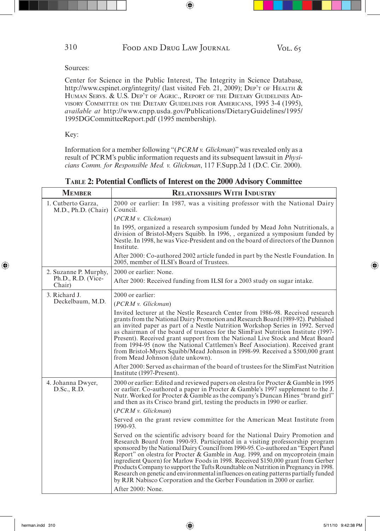Center for Science in the Public Interest, The Integrity in Science Database, http://www.cspinet.org/integrity/ (last visited Feb. 21, 2009); DEP'T OF HEALTH & HUMAN SERVS. & U.S. DEP'T OF AGRIC., REPORT OF THE DIETARY GUIDELINES AD-VISORY COMMITTEE ON THE DIETARY GUIDELINES FOR AMERICANS, 1995 3-4 (1995), *available at* http://www.cnpp.usda.gov/Publications/DietaryGuidelines/1995/ 1995DGCommitteeReport.pdf (1995 membership).

Key:

Information for a member following "(*PCRM v. Glickman*)" was revealed only as a result of PCRM's public information requests and its subsequent lawsuit in *Physicians Comm. for Responsible Med. v. Glickman*, 117 F.Supp.2d 1 (D.C. Cir. 2000).

| <b>MEMBER</b>                             | <b>RELATIONSHIPS WITH INDUSTRY</b>                                                                                                                                                                                                                                                                                                                                                                                                                                                                                                                                                                                                                                                    |
|-------------------------------------------|---------------------------------------------------------------------------------------------------------------------------------------------------------------------------------------------------------------------------------------------------------------------------------------------------------------------------------------------------------------------------------------------------------------------------------------------------------------------------------------------------------------------------------------------------------------------------------------------------------------------------------------------------------------------------------------|
| 1. Cutberto Garza,<br>M.D., Ph.D. (Chair) | 2000 or earlier: In 1987, was a visiting professor with the National Dairy<br>Council.                                                                                                                                                                                                                                                                                                                                                                                                                                                                                                                                                                                                |
|                                           | (PCRM v. Clickman)                                                                                                                                                                                                                                                                                                                                                                                                                                                                                                                                                                                                                                                                    |
|                                           | In 1995, organized a research symposium funded by Mead John Nutritionals, a<br>division of Bristol-Myers Squibb. In 1996, organized a symposium funded by<br>Nestle. In 1998, he was Vice-President and on the board of directors of the Dannon<br>Institute.                                                                                                                                                                                                                                                                                                                                                                                                                         |
|                                           | After 2000: Co-authored 2002 article funded in part by the Nestle Foundation. In<br>2005, member of ILSI's Board of Trustees.                                                                                                                                                                                                                                                                                                                                                                                                                                                                                                                                                         |
| 2. Suzanne P. Murphy,                     | 2000 or earlier: None.                                                                                                                                                                                                                                                                                                                                                                                                                                                                                                                                                                                                                                                                |
| Ph.D., R.D. (Vice-<br>Chair)              | After 2000: Received funding from ILSI for a 2003 study on sugar intake.                                                                                                                                                                                                                                                                                                                                                                                                                                                                                                                                                                                                              |
| 3. Richard J.                             | $2000$ or earlier:                                                                                                                                                                                                                                                                                                                                                                                                                                                                                                                                                                                                                                                                    |
| Deckelbaum, M.D.                          | (PCRM v. Glickman)                                                                                                                                                                                                                                                                                                                                                                                                                                                                                                                                                                                                                                                                    |
|                                           | Invited lecturer at the Nestle Research Center from 1986-98. Received research<br>grants from the National Dairy Promotion and Research Board (1989-92). Published<br>an invited paper as part of a Nestle Nutrition Workshop Series in 1992. Served<br>as chairman of the board of trustees for the SlimFast Nutrition Institute (1997-<br>Present). Received grant support from the National Live Stock and Meat Board<br>from 1994-95 (now the National Cattlemen's Beef Association). Received grant<br>from Bristol-Myers Squibb/Mead Johnson in 1998-99. Received a \$500,000 grant<br>from Mead Johnson (date unkown).                                                         |
|                                           | After 2000: Served as chairman of the board of trustees for the SlimFast Nutrition<br>Institute (1997-Present).                                                                                                                                                                                                                                                                                                                                                                                                                                                                                                                                                                       |
| 4. Johanna Dwyer,<br>D.Sc., R.D.          | 2000 or earlier: Edited and reviewed papers on olestra for Procter & Gamble in 1995<br>or earlier. Co-authored a paper in Procter & Gamble's 1997 supplement to the J.<br>Nutr. Worked for Procter & Gamble as the company's Duncan Hines "brand girl"<br>and then as its Crisco brand girl, testing the products in 1990 or earlier.                                                                                                                                                                                                                                                                                                                                                 |
|                                           | (PCRM v. Glickman)                                                                                                                                                                                                                                                                                                                                                                                                                                                                                                                                                                                                                                                                    |
|                                           | Served on the grant review committee for the American Meat Institute from<br>1990-93.                                                                                                                                                                                                                                                                                                                                                                                                                                                                                                                                                                                                 |
|                                           | Served on the scientific advisory board for the National Dairy Promotion and<br>Research Board from 1990-93. Participated in a visiting professorship program<br>sponsored by the National Dairy Council from 1990-95. Co-authored an "Expert Panel"<br>Report" on olestra for Procter & Gamble in Aug. 1999, and on mycoprotein (main<br>ingredient Quorn) for Marlow Foods in 1998. Received \$150,000 grant from Gerber<br>Products Company to support the Tufts Roundtable on Nutrition in Pregnancy in 1998.<br>Research on genetic and environmental influences on eating patterns partially funded<br>by RJR Nabisco Corporation and the Gerber Foundation in 2000 or earlier. |
|                                           | After 2000: None.                                                                                                                                                                                                                                                                                                                                                                                                                                                                                                                                                                                                                                                                     |

**TABLE 2: Potential Conflicts of Interest on the 2000 Advisory Committee**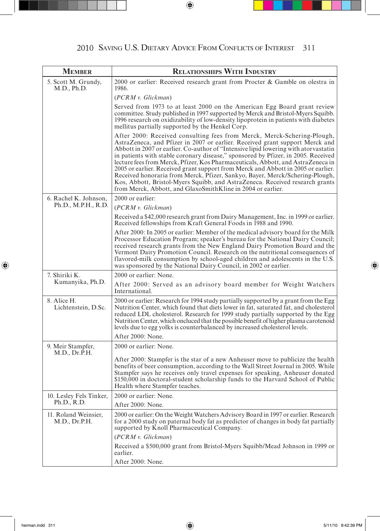| <b>MEMBER</b>                         | <b>RELATIONSHIPS WITH INDUSTRY</b>                                                                                                                                                                                                                                                                                                                                                                                                                                                                                                                                                                                                                                                                                                          |
|---------------------------------------|---------------------------------------------------------------------------------------------------------------------------------------------------------------------------------------------------------------------------------------------------------------------------------------------------------------------------------------------------------------------------------------------------------------------------------------------------------------------------------------------------------------------------------------------------------------------------------------------------------------------------------------------------------------------------------------------------------------------------------------------|
| 5. Scott M. Grundy,<br>M.D., Ph.D.    | 2000 or earlier: Received research grant from Procter & Gamble on olestra in<br>1986.                                                                                                                                                                                                                                                                                                                                                                                                                                                                                                                                                                                                                                                       |
|                                       | (PCRM v. Glickman)                                                                                                                                                                                                                                                                                                                                                                                                                                                                                                                                                                                                                                                                                                                          |
|                                       | Served from 1973 to at least 2000 on the American Egg Board grant review<br>committee. Study published in 1997 supported by Merck and Bristol-Myers Squibb.<br>1996 research on oxidizability of low-density lipoprotein in patients with diabetes<br>mellitus partially supported by the Henkel Corp.                                                                                                                                                                                                                                                                                                                                                                                                                                      |
|                                       | After 2000: Received consulting fees from Merck, Merck-Schering-Plough,<br>AstraZeneca, and Pfizer in 2007 or earlier. Received grant support Merck and<br>Abbott in 2007 or earlier. Co-author of "Intensive lipid lowering with atorvastatin<br>in patients with stable coronary disease," sponsored by Pfizer, in 2005. Received<br>lecture fees from Merck, Pfizer, Kos Pharmaceuticals, Abbott, and AstraZeneca in<br>2005 or earlier. Received grant support from Merck and Abbott in 2005 or earlier.<br>Received honoraria from Merck, Pfizer, Sankyo, Bayer, Merck/Schering-Plough,<br>Kos, Abbott, Bristol-Myers Squibb, and AstraZeneca. Received research grants<br>from Merck, Abbott, and GlaxoSmithKline in 2004 or earlier. |
| 6. Rachel K. Johnson,                 | 2000 or earlier:                                                                                                                                                                                                                                                                                                                                                                                                                                                                                                                                                                                                                                                                                                                            |
| Ph.D., M.P.H., R.D.                   | (PCRM v. Glickman)                                                                                                                                                                                                                                                                                                                                                                                                                                                                                                                                                                                                                                                                                                                          |
|                                       | Received a \$42,000 research grant from Dairy Management, Inc. in 1999 or earlier.<br>Received fellowships from Kraft General Foods in 1988 and 1990.                                                                                                                                                                                                                                                                                                                                                                                                                                                                                                                                                                                       |
|                                       | After 2000: In 2005 or earlier: Member of the medical advisory board for the Milk<br>Processor Education Program; speaker's bureau for the National Dairy Council;<br>received research grants from the New England Dairy Promotion Board and the<br>Vermont Dairy Promotion Council. Research on the nutritional consequences of<br>flavored-milk consumption by school-aged children and adolescents in the U.S.<br>was sponsored by the National Dairy Council, in 2002 or earlier.                                                                                                                                                                                                                                                      |
| 7. Shiriki K.                         | 2000 or earlier: None.                                                                                                                                                                                                                                                                                                                                                                                                                                                                                                                                                                                                                                                                                                                      |
| Kumanyika, Ph.D.                      | After 2000: Served as an advisory board member for Weight Watchers<br>International.                                                                                                                                                                                                                                                                                                                                                                                                                                                                                                                                                                                                                                                        |
| 8. Alice H.<br>Lichtenstein, D.Sc.    | 2000 or earlier: Research for 1994 study partially supported by a grant from the Egg<br>Nutrition Center, which found that diets lower in fat, saturated fat, and cholesterol<br>reduced LDL cholesterol. Research for 1999 study partially supported by the Egg<br>Nutrition Center, which onclueed that the possible benefit of higher plasma carotenoid<br>levels due to egg yolks is counterbalanced by increased cholesterol levels.<br>After 2000: None.                                                                                                                                                                                                                                                                              |
| 9. Meir Stampfer,                     | 2000 or earlier: None.                                                                                                                                                                                                                                                                                                                                                                                                                                                                                                                                                                                                                                                                                                                      |
| M.D., Dr.P.H.                         | After 2000: Stampfer is the star of a new Anheuser move to publicize the health<br>benefits of beer consumption, according to the Wall Street Journal in 2005. While<br>Stampfer says he receives only travel expenses for speaking, Anheuser donated<br>\$150,000 in doctoral-student scholarship funds to the Harvard School of Public<br>Health where Stampfer teaches.                                                                                                                                                                                                                                                                                                                                                                  |
| 10. Lesley Fels Tinker,               | 2000 or earlier: None.                                                                                                                                                                                                                                                                                                                                                                                                                                                                                                                                                                                                                                                                                                                      |
| Ph.D., R.D.                           | After 2000: None.                                                                                                                                                                                                                                                                                                                                                                                                                                                                                                                                                                                                                                                                                                                           |
| 11. Roland Weinsier,<br>M.D., Dr.P.H. | 2000 or earlier: On the Weight Watchers Advisory Board in 1997 or earlier. Research<br>for a 2000 study on paternal body fat as predictor of changes in body fat partially<br>supported by Knoll Pharmaceutical Company.                                                                                                                                                                                                                                                                                                                                                                                                                                                                                                                    |
|                                       | (PCRM v. Glickman)                                                                                                                                                                                                                                                                                                                                                                                                                                                                                                                                                                                                                                                                                                                          |
|                                       | Received a \$500,000 grant from Bristol-Myers Squibb/Mead Johnson in 1999 or<br>earlier.                                                                                                                                                                                                                                                                                                                                                                                                                                                                                                                                                                                                                                                    |
|                                       | After 2000: None.                                                                                                                                                                                                                                                                                                                                                                                                                                                                                                                                                                                                                                                                                                                           |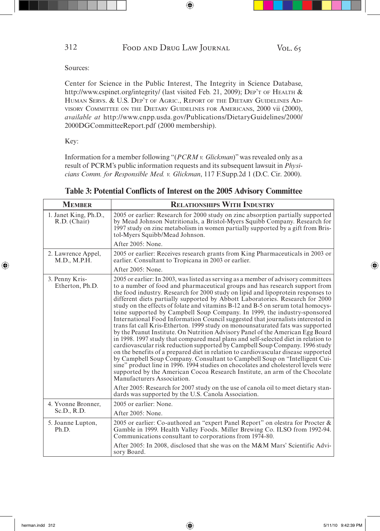Center for Science in the Public Interest, The Integrity in Science Database, http://www.cspinet.org/integrity/ (last visited Feb. 21, 2009); DEP'T OF HEALTH & HUMAN SERVS. & U.S. DEP'T OF AGRIC., REPORT OF THE DIETARY GUIDELINES AD-VISORY COMMITTEE ON THE DIETARY GUIDELINES FOR AMERICANS, 2000 vii (2000), *available at* http://www.cnpp.usda.gov/Publications/DietaryGuidelines/2000/ 2000DGCommitteeReport.pdf (2000 membership).

Key:

Information for a member following "(*PCRM v. Glickman*)" was revealed only as a result of PCRM's public information requests and its subsequent lawsuit in *Physicians Comm. for Responsible Med. v. Glickman*, 117 F.Supp.2d 1 (D.C. Cir. 2000).

| <b>MEMBER</b>                         | <b>RELATIONSHIPS WITH INDUSTRY</b>                                                                                                                                                                                                                                                                                                                                                                                                                                                                                                                                                                                                                                                                                                                                                                                                                                                                                                                                                                                                                                                                                                                                                                                                                                                                                                                                                                |
|---------------------------------------|---------------------------------------------------------------------------------------------------------------------------------------------------------------------------------------------------------------------------------------------------------------------------------------------------------------------------------------------------------------------------------------------------------------------------------------------------------------------------------------------------------------------------------------------------------------------------------------------------------------------------------------------------------------------------------------------------------------------------------------------------------------------------------------------------------------------------------------------------------------------------------------------------------------------------------------------------------------------------------------------------------------------------------------------------------------------------------------------------------------------------------------------------------------------------------------------------------------------------------------------------------------------------------------------------------------------------------------------------------------------------------------------------|
| 1. Janet King, Ph.D.,<br>R.D. (Chair) | 2005 or earlier: Research for 2000 study on zinc absorption partially supported<br>by Mead Johnson Nutritionals, a Bristol-Myers Squibb Company. Research for<br>1997 study on zinc metabolism in women partially supported by a gift from Bris-<br>tol-Myers Squibb/Mead Johnson.                                                                                                                                                                                                                                                                                                                                                                                                                                                                                                                                                                                                                                                                                                                                                                                                                                                                                                                                                                                                                                                                                                                |
|                                       | After 2005: None.                                                                                                                                                                                                                                                                                                                                                                                                                                                                                                                                                                                                                                                                                                                                                                                                                                                                                                                                                                                                                                                                                                                                                                                                                                                                                                                                                                                 |
| 2. Lawrence Appel,<br>M.D., M.P.H.    | 2005 or earlier: Receives research grants from King Pharmaceuticals in 2003 or<br>earlier. Consultant to Tropicana in 2003 or earlier.                                                                                                                                                                                                                                                                                                                                                                                                                                                                                                                                                                                                                                                                                                                                                                                                                                                                                                                                                                                                                                                                                                                                                                                                                                                            |
|                                       | After 2005: None.                                                                                                                                                                                                                                                                                                                                                                                                                                                                                                                                                                                                                                                                                                                                                                                                                                                                                                                                                                                                                                                                                                                                                                                                                                                                                                                                                                                 |
| 3. Penny Kris-<br>Etherton, Ph.D.     | 2005 or earlier: In 2003, was listed as serving as a member of advisory committees<br>to a number of food and pharmaceutical groups and has research support from<br>the food industry. Research for 2000 study on lipid and lipoprotein responses to<br>different diets partially supported by Abbott Laboratories. Research for 2000<br>study on the effects of folate and vitamins B-12 and B-5 on serum total homocys-<br>teine supported by Campbell Soup Company. In 1999, the industry-sponsored<br>International Food Information Council suggested that journalists interested in<br>trans fat call Kris-Etherton. 1999 study on monounsaturated fats was supported<br>by the Peanut Institute. On Nutrition Advisory Panel of the American Egg Board<br>in 1998. 1997 study that compared meal plans and self-selected diet in relation to<br>cardiovascular risk reduction supported by Campbell Soup Company. 1996 study<br>on the benefits of a prepared diet in relation to cardiovascular disease supported<br>by Campbell Soup Company. Consultant to Campbell Soup on "Intelligent Cui-<br>sine" product line in 1996. 1994 studies on chocolates and cholesterol levels were<br>supported by the American Cocoa Research Institute, an arm of the Chocolate<br>Manufacturers Association.<br>After 2005: Research for 2007 study on the use of canola oil to meet dietary stan- |
| 4. Yvonne Bronner,                    | dards was supported by the U.S. Canola Association.<br>2005 or earlier: None.                                                                                                                                                                                                                                                                                                                                                                                                                                                                                                                                                                                                                                                                                                                                                                                                                                                                                                                                                                                                                                                                                                                                                                                                                                                                                                                     |
| Sc.D., R.D.                           | After 2005: None.                                                                                                                                                                                                                                                                                                                                                                                                                                                                                                                                                                                                                                                                                                                                                                                                                                                                                                                                                                                                                                                                                                                                                                                                                                                                                                                                                                                 |
| 5. Joanne Lupton,<br>Ph.D.            | 2005 or earlier: Co-authored an "expert Panel Report" on olestra for Procter &<br>Gamble in 1999. Health Valley Foods. Miller Brewing Co. ILSO from 1992-94.<br>Communications consultant to corporations from 1974-80.                                                                                                                                                                                                                                                                                                                                                                                                                                                                                                                                                                                                                                                                                                                                                                                                                                                                                                                                                                                                                                                                                                                                                                           |
|                                       | After 2005: In 2008, disclosed that she was on the M&M Mars' Scientific Advi-<br>sory Board.                                                                                                                                                                                                                                                                                                                                                                                                                                                                                                                                                                                                                                                                                                                                                                                                                                                                                                                                                                                                                                                                                                                                                                                                                                                                                                      |

**Table 3: Potential Conflicts of Interest on the 2005 Advisory Committee**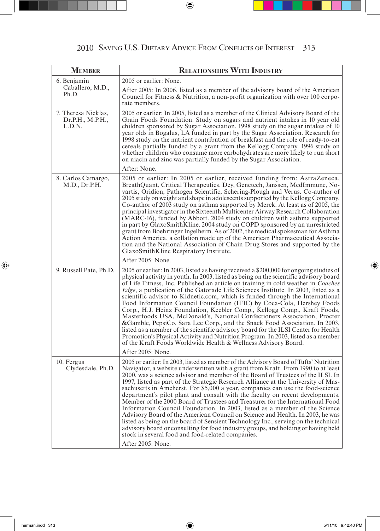| <b>MEMBER</b>                                     | <b>RELATIONSHIPS WITH INDUSTRY</b>                                                                                                                                                                                                                                                                                                                                                                                                                                                                                                                                                                                                                                                                                                                                                                                                                                                                                                                                                                                       |
|---------------------------------------------------|--------------------------------------------------------------------------------------------------------------------------------------------------------------------------------------------------------------------------------------------------------------------------------------------------------------------------------------------------------------------------------------------------------------------------------------------------------------------------------------------------------------------------------------------------------------------------------------------------------------------------------------------------------------------------------------------------------------------------------------------------------------------------------------------------------------------------------------------------------------------------------------------------------------------------------------------------------------------------------------------------------------------------|
| 6. Benjamin                                       | 2005 or earlier: None.                                                                                                                                                                                                                                                                                                                                                                                                                                                                                                                                                                                                                                                                                                                                                                                                                                                                                                                                                                                                   |
| Caballero, M.D.,<br>Ph.D.                         | After 2005: In 2006, listed as a member of the advisory board of the American<br>Council for Fitness & Nutrition, a non-profit organization with over 100 corpo-<br>rate members.                                                                                                                                                                                                                                                                                                                                                                                                                                                                                                                                                                                                                                                                                                                                                                                                                                        |
| 7. Theresa Nicklas,<br>Dr.P.H., M.P.H.,<br>L.D.N. | 2005 or earlier: In 2005, listed as a member of the Clinical Advisory Board of the<br>Grain Foods Foundation. Study on sugars and nutrient intakes in 10 year old<br>children sponsored by Sugar Association. 1998 study on the sugar intakes of 10<br>year olds in Bogalus, LA funded in part by the Sugar Association. Research for<br>1998 study on the nutrient contribution of breakfast and the role of ready-to-eat<br>cereals partially funded by a grant from the Kellogg Company. 1996 study on<br>whether children who consume more carbohydrates are more likely to run short<br>on niacin and zinc was partially funded by the Sugar Association.                                                                                                                                                                                                                                                                                                                                                           |
|                                                   | After: None.                                                                                                                                                                                                                                                                                                                                                                                                                                                                                                                                                                                                                                                                                                                                                                                                                                                                                                                                                                                                             |
| 8. Carlos Camargo,<br>M.D., Dr.P.H.               | 2005 or earlier: In 2005 or earlier, received funding from: AstraZeneca,<br>BreathQuant, Critical Therapeutics, Dey, Genetech, Janssen, MedImmune, No-<br>vartis, Oridion, Pathogen Scientific, Schering-Plough and Verus. Co-author of<br>2005 study on weight and shape in adolescents supported by the Kellogg Company.<br>Co-author of 2003 study on asthma supported by Merck. At least as of 2005, the<br>principal investigator in the Sixteenth Multicenter Airway Research Collaboration<br>(MARC-16), funded by Abbott. 2004 study on children with asthma supported<br>in part by GlaxoSmithKline. 2004 study on COPD sponsored by an unrestricted<br>grant from Boehringer Ingelheim. As of 2002, the medical spokesman for Asthma<br>Action America, a collation made up of the American Pharmaceutical Associa-<br>tion and the National Association of Chain Drug Stores and supported by the<br>GlaxoSmithKline Respiratory Institute.<br>After 2005: None.                                              |
| 9. Russell Pate, Ph.D.                            | 2005 or earlier: In 2003, listed as having received a \$200,000 for ongoing studies of                                                                                                                                                                                                                                                                                                                                                                                                                                                                                                                                                                                                                                                                                                                                                                                                                                                                                                                                   |
|                                                   | physical activity in youth. In 2003, listed as being on the scientific advisory board<br>of Life Fitness, Inc. Published an article on training in cold weather in <i>Coaches</i><br><i>Edge</i> , a publication of the Gatorade Life Sciences Institute. In 2003, listed as a<br>scientific advisor to Kidnetic.com, which is funded through the International<br>Food Information Council Foundation (IFIC) by Coca-Cola, Hershey Foods<br>Corp., H.J. Heinz Foundation, Keebler Comp., Kellogg Comp., Kraft Foods,<br>Masterfoods USA, McDonald's, National Confectioners Association, Procter<br>&Gamble, PepsiCo, Sara Lee Corp., and the Snack Food Association. In 2003,<br>listed as a member of the scientific advisory board for the ILSI Center for Health<br>Promotion's Physical Activity and Nutrition Program. In 2003, listed as a member<br>of the Kraft Foods Worldwide Health & Wellness Advisory Board.                                                                                              |
|                                                   | After 2005: None.                                                                                                                                                                                                                                                                                                                                                                                                                                                                                                                                                                                                                                                                                                                                                                                                                                                                                                                                                                                                        |
| 10. Fergus<br>Clydesdale, Ph.D.                   | 2005 or earlier: In 2003, listed as member of the Advisory Board of Tufts' Nutrition<br>Navigator, a website underwritten with a grant from Kraft. From 1990 to at least<br>2000, was a science advisor and member of the Board of Trustees of the ILSI. In<br>1997, listed as part of the Strategic Research Alliance at the University of Mas-<br>sachusetts in Ameherst. For \$5,000 a year, companies can use the food-science<br>department's pilot plant and consult with the faculty on recent developments.<br>Member of the 2000 Board of Trustees and Treasurer for the International Food<br>Information Council Foundation. In 2003, listed as a member of the Science<br>Advisory Board of the American Council on Science and Health. In 2003, he was<br>listed as being on the board of Sensient Technology Inc., serving on the technical<br>advisory board or consulting for food industry groups, and holding or having held<br>stock in several food and food-related companies.<br>After 2005: None. |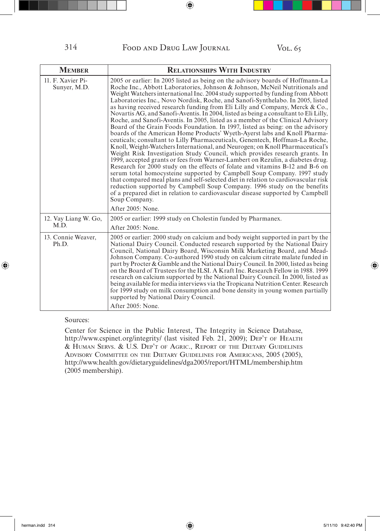| <b>MEMBER</b>                     | <b>RELATIONSHIPS WITH INDUSTRY</b>                                                                                                                                                                                                                                                                                                                                                                                                                                                                                                                                                                                                                                                                                                                                                                                                                                                                                                                                                                                                                                                                                                                                                                                                                                                                                                                                                                                                                                                                                                                  |
|-----------------------------------|-----------------------------------------------------------------------------------------------------------------------------------------------------------------------------------------------------------------------------------------------------------------------------------------------------------------------------------------------------------------------------------------------------------------------------------------------------------------------------------------------------------------------------------------------------------------------------------------------------------------------------------------------------------------------------------------------------------------------------------------------------------------------------------------------------------------------------------------------------------------------------------------------------------------------------------------------------------------------------------------------------------------------------------------------------------------------------------------------------------------------------------------------------------------------------------------------------------------------------------------------------------------------------------------------------------------------------------------------------------------------------------------------------------------------------------------------------------------------------------------------------------------------------------------------------|
| 11. F. Xavier Pi-<br>Sunyer, M.D. | 2005 or earlier: In 2005 listed as being on the advisory boards of Hoffmann-La<br>Roche Inc., Abbott Laboratories, Johnson & Johnson, McNeil Nutritionals and<br>Weight Watchers international Inc. 2004 study supported by funding from Abbott<br>Laboratories Inc., Novo Nordisk, Roche, and Sanofi-Synthelabo. In 2005, listed<br>as having received research funding from Eli Lilly and Company, Merck & Co.,<br>Novartis AG, and Sanofi-Aventis. In 2004, listed as being a consultant to Eli Lilly,<br>Roche, and Sanofi-Aventis. In 2005, listed as a member of the Clinical Advisory<br>Board of the Grain Foods Foundation. In 1997, listed as being: on the advisory<br>boards of the American Home Products' Wyeth-Ayerst labs and Knoll Pharma-<br>ceuticals; consultant to Lilly Pharmaceuticals, Genentech, Hoffman-La Roche,<br>Knoll, Weight-Watchers International, and Neurogen; on Knoll Pharmaceutical's<br>Weight Risk Investigation Study Council, which provides research grants. In<br>1999, accepted grants or fees from Warner-Lambert on Rezulin, a diabetes drug.<br>Research for 2000 study on the effects of folate and vitamins B-12 and B-6 on<br>serum total homocysteine supported by Campbell Soup Company. 1997 study<br>that compared meal plans and self-selected diet in relation to cardiovascular risk<br>reduction supported by Campbell Soup Company. 1996 study on the benefits<br>of a prepared diet in relation to cardiovascular disease supported by Campbell<br>Soup Company.<br>After 2005: None. |
| 12. Vay Liang W. Go,<br>M.D.      | 2005 or earlier: 1999 study on Cholestin funded by Pharmanex.                                                                                                                                                                                                                                                                                                                                                                                                                                                                                                                                                                                                                                                                                                                                                                                                                                                                                                                                                                                                                                                                                                                                                                                                                                                                                                                                                                                                                                                                                       |
|                                   | After 2005: None.                                                                                                                                                                                                                                                                                                                                                                                                                                                                                                                                                                                                                                                                                                                                                                                                                                                                                                                                                                                                                                                                                                                                                                                                                                                                                                                                                                                                                                                                                                                                   |
| 13. Connie Weaver,<br>Ph.D.       | 2005 or earlier: 2000 study on calcium and body weight supported in part by the<br>National Dairy Council. Conducted research supported by the National Dairy<br>Council, National Dairy Board, Wisconsin Milk Marketing Board, and Mead-<br>Johnson Company. Co-authored 1990 study on calcium citrate malate funded in<br>part by Procter & Gamble and the National Dairy Council. In 2000, listed as being<br>on the Board of Trustees for the ILSI, A Kraft Inc. Research Fellow in 1988, 1999<br>research on calcium supported by the National Dairy Council. In 2000, listed as<br>being available for media interviews via the Tropicana Nutrition Center. Research<br>for 1999 study on milk consumption and bone density in young women partially<br>supported by National Dairy Council.<br>After 2005: None.                                                                                                                                                                                                                                                                                                                                                                                                                                                                                                                                                                                                                                                                                                                             |

Center for Science in the Public Interest, The Integrity in Science Database, http://www.cspinet.org/integrity/ (last visited Feb. 21, 2009); DEP'T OF HEALTH & HUMAN SERVS. & U.S. DEP'T OF AGRIC., REPORT OF THE DIETARY GUIDELINES ADVISORY COMMITTEE ON THE DIETARY GUIDELINES FOR AMERICANS, 2005 (2005), http://www.health.gov/dietaryguidelines/dga2005/report/HTML/membership.htm (2005 membership).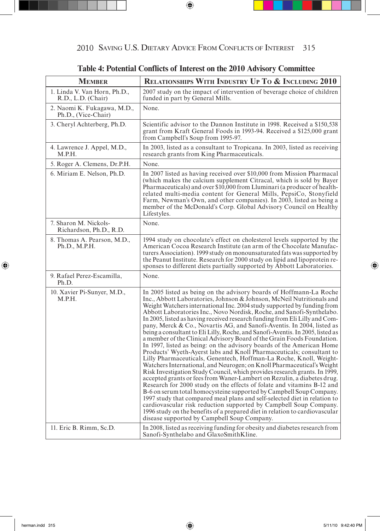| <b>MEMBER</b>                                      | <b>RELATIONSHIPS WITH INDUSTRY UP TO &amp; INCLUDING 2010</b>                                                                                                                                                                                                                                                                                                                                                                                                                                                                                                                                                                                                                                                                                                                                                                                                                                                                                                                                                                                                                                                                                                                                                                                                                                                                                                                                                                                                                                                    |
|----------------------------------------------------|------------------------------------------------------------------------------------------------------------------------------------------------------------------------------------------------------------------------------------------------------------------------------------------------------------------------------------------------------------------------------------------------------------------------------------------------------------------------------------------------------------------------------------------------------------------------------------------------------------------------------------------------------------------------------------------------------------------------------------------------------------------------------------------------------------------------------------------------------------------------------------------------------------------------------------------------------------------------------------------------------------------------------------------------------------------------------------------------------------------------------------------------------------------------------------------------------------------------------------------------------------------------------------------------------------------------------------------------------------------------------------------------------------------------------------------------------------------------------------------------------------------|
| 1. Linda V. Van Horn, Ph.D.,<br>R.D., L.D. (Chair) | 2007 study on the impact of intervention of beverage choice of children<br>funded in part by General Mills.                                                                                                                                                                                                                                                                                                                                                                                                                                                                                                                                                                                                                                                                                                                                                                                                                                                                                                                                                                                                                                                                                                                                                                                                                                                                                                                                                                                                      |
| 2. Naomi K. Fukagawa, M.D.,<br>Ph.D., (Vice-Chair) | None.                                                                                                                                                                                                                                                                                                                                                                                                                                                                                                                                                                                                                                                                                                                                                                                                                                                                                                                                                                                                                                                                                                                                                                                                                                                                                                                                                                                                                                                                                                            |
| 3. Cheryl Achterberg, Ph.D.                        | Scientific advisor to the Dannon Institute in 1998. Received a \$150,538<br>grant from Kraft General Foods in 1993-94. Received a \$125,000 grant<br>from Campbell's Soup from 1995-97.                                                                                                                                                                                                                                                                                                                                                                                                                                                                                                                                                                                                                                                                                                                                                                                                                                                                                                                                                                                                                                                                                                                                                                                                                                                                                                                          |
| 4. Lawrence J. Appel, M.D.,<br>M.P.H.              | In 2003, listed as a consultant to Tropicana. In 2003, listed as receiving<br>research grants from King Pharmaceuticals.                                                                                                                                                                                                                                                                                                                                                                                                                                                                                                                                                                                                                                                                                                                                                                                                                                                                                                                                                                                                                                                                                                                                                                                                                                                                                                                                                                                         |
| 5. Roger A. Clemens, Dr.P.H.                       | None.                                                                                                                                                                                                                                                                                                                                                                                                                                                                                                                                                                                                                                                                                                                                                                                                                                                                                                                                                                                                                                                                                                                                                                                                                                                                                                                                                                                                                                                                                                            |
| 6. Miriam E. Nelson, Ph.D.                         | In 2007 listed as having received over \$10,000 from Mission Pharmacal<br>(which makes the calcium supplement Citracal, which is sold by Bayer<br>Pharmaceuticals) and over \$10,000 from Lluminari (a producer of health-<br>related multi-media content for General Mills, PepsiCo, Stonyfield<br>Farm, Newman's Own, and other companies). In 2003, listed as being a<br>member of the McDonald's Corp. Global Advisory Council on Healthy<br>Lifestyles.                                                                                                                                                                                                                                                                                                                                                                                                                                                                                                                                                                                                                                                                                                                                                                                                                                                                                                                                                                                                                                                     |
| 7. Sharon M. Nickols-<br>Richardson, Ph.D., R.D.   | None.                                                                                                                                                                                                                                                                                                                                                                                                                                                                                                                                                                                                                                                                                                                                                                                                                                                                                                                                                                                                                                                                                                                                                                                                                                                                                                                                                                                                                                                                                                            |
| 8. Thomas A. Pearson, M.D.,<br>Ph.D., M.P.H.       | 1994 study on chocolate's effect on cholesterol levels supported by the<br>American Cocoa Research Institute (an arm of the Chocolate Manufac-<br>turers Association). 1999 study on monounsaturated fats was supported by<br>the Peanut Institute. Research for 2000 study on lipid and lipoprotein re-<br>sponses to different diets partially supported by Abbott Laboratories.                                                                                                                                                                                                                                                                                                                                                                                                                                                                                                                                                                                                                                                                                                                                                                                                                                                                                                                                                                                                                                                                                                                               |
| 9. Rafael Perez-Escamilla,<br>Ph.D.                | None.                                                                                                                                                                                                                                                                                                                                                                                                                                                                                                                                                                                                                                                                                                                                                                                                                                                                                                                                                                                                                                                                                                                                                                                                                                                                                                                                                                                                                                                                                                            |
| 10. Xavier Pi-Sunyer, M.D.,<br>M.P.H.              | In 2005 listed as being on the advisory boards of Hoffmann-La Roche<br>Inc., Abbott Laboratories, Johnson & Johnson, McNeil Nutritionals and<br>Weight Watchers international Inc. 2004 study supported by funding from<br>Abbott Laboratories Inc., Novo Nordisk, Roche, and Sanofi-Synthelabo.<br>In 2005, listed as having received research funding from Eli Lilly and Com-<br>pany, Merck & Co., Novartis AG, and Sanofi-Aventis. In 2004, listed as<br>being a consultant to Eli Lilly, Roche, and Sanofi-Aventis. In 2005, listed as<br>a member of the Clinical Advisory Board of the Grain Foods Foundation.<br>In 1997, listed as being: on the advisory boards of the American Home<br>Products' Wyeth-Ayerst labs and Knoll Pharmaceuticals; consultant to<br>Lilly Pharmaceuticals, Genentech, Hoffman-La Roche, Knoll, Weight-<br>Watchers International, and Neurogen; on Knoll Pharmaceutical's Weight<br>Risk Investigation Study Council, which provides research grants. In 1999,<br>accepted grants or fees from Waner-Lambert on Rezulin, a diabetes drug.<br>Research for 2000 study on the effects of folate and vitamins B-12 and<br>B-6 on serum total homocysteine supported by Campbell Soup Company.<br>1997 study that compared meal plans and self-selected diet in relation to<br>cardiovascular risk reduction supported by Campbell Soup Company.<br>1996 study on the benefits of a prepared diet in relation to cardiovascular<br>disease supported by Campbell Soup Company. |
| 11. Eric B. Rimm, Sc.D.                            | In 2008, listed as receiving funding for obesity and diabetes research from<br>Sanofi-Synthelabo and GlaxoSmithKline.                                                                                                                                                                                                                                                                                                                                                                                                                                                                                                                                                                                                                                                                                                                                                                                                                                                                                                                                                                                                                                                                                                                                                                                                                                                                                                                                                                                            |

**Table 4: Potential Conflicts of Interest on the 2010 Advisory Committee**